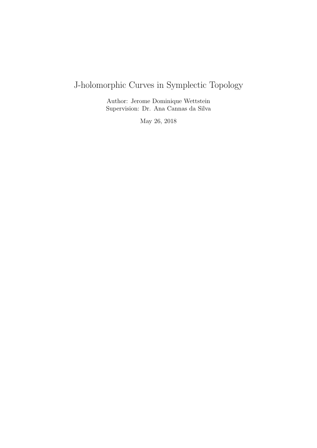# J-holomorphic Curves in Symplectic Topology

Author: Jerome Dominique Wettstein Supervision: Dr. Ana Cannas da Silva

May 26, 2018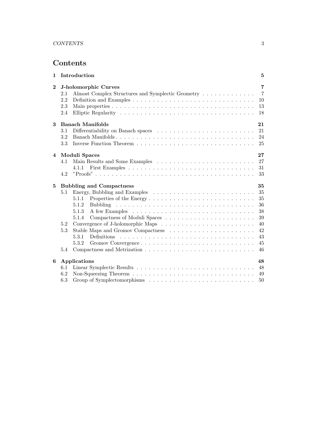## Contents

| $\mathbf 1$ | Introduction                                                                                                                                                                                                   | $\overline{5}$                                                 |
|-------------|----------------------------------------------------------------------------------------------------------------------------------------------------------------------------------------------------------------|----------------------------------------------------------------|
| $\bf{2}$    | <b>J-holomorphic Curves</b><br>Almost Complex Structures and Symplectic Geometry<br>2.1<br>2.2<br>2.3<br>2.4                                                                                                   | $\overline{7}$<br>$\overline{7}$<br>10<br>13<br>18             |
| 3           | <b>Banach Manifolds</b><br>3.1<br>Banach Manifolds<br>3.2<br>3.3                                                                                                                                               | 21<br>21<br>24<br>25                                           |
| 4           | Moduli Spaces<br>4.1<br>4.1.1<br>4.2                                                                                                                                                                           | 27<br>27<br>31<br>33                                           |
| 5           | <b>Bubbling and Compactness</b><br>5.1<br>5.1.1<br>5.1.2<br>5.1.3<br>5.1.4<br>5.2<br>Stable Maps and Gromov Compactness $\ldots \ldots \ldots \ldots \ldots \ldots \ldots$<br>$5.3\,$<br>5.3.1<br>5.3.2<br>5.4 | 35<br>35<br>35<br>36<br>38<br>39<br>40<br>42<br>43<br>45<br>46 |
| 6           | Applications<br>6.1<br>6.2<br>6.3                                                                                                                                                                              | 48<br>48<br>49<br>50                                           |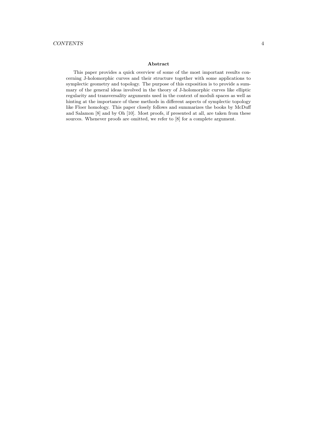#### Abstract

This paper provides a quick overview of some of the most important results concerning J-holomorphic curves and their structure together with some applications to symplectic geometry and topology. The purpose of this exposition is to provide a summary of the general ideas involved in the theory of J-holomorphic curves like elliptic regularity and transversality arguments used in the context of moduli spaces as well as hinting at the importance of these methods in different aspects of symplectic topology like Floer homology. This paper closely follows and summarizes the books by McDuff and Salamon [8] and by Oh [10]. Most proofs, if presented at all, are taken from these sources. Whenever proofs are omitted, we refer to [8] for a complete argument.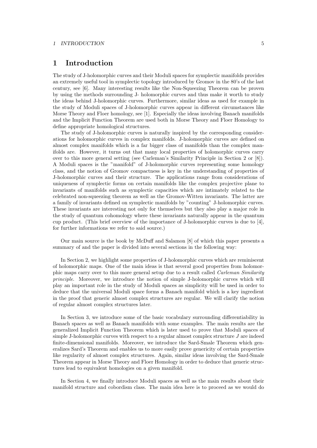#### *1 INTRODUCTION* 5

### 1 Introduction

The study of J-holomorphic curves and their Moduli spaces for symplectic manifolds provides an extremely useful tool in symplectic topology introduced by Gromov in the 80's of the last century, see [6]. Many interesting results like the Non-Squeezing Theorem can be proven by using the methods surrounding J- holomorphic curves and thus make it worth to study the ideas behind J-holomorphic curves. Furthermore, similar ideas as used for example in the study of Moduli spaces of J-holomorphic curves appear in different circumstances like Morse Theory and Floer homology, see [1]. Especially the ideas involving Banach manifolds and the Implicit Function Theorem are used both in Morse Theory and Floer Homology to define appropriate homological structures.

The study of J-holomorphic curves is naturally inspired by the corresponding considerations for holomorphic curves in complex manifolds. J-holomorphic curves are defined on almost complex manifolds which is a far bigger class of manifolds than the complex manifolds are. However, it turns out that many local properties of holomorphic curves carry over to this more general setting (see Carleman's Similarity Principle in Section 2 or [8]). A Moduli spaces is the "manifold" of J-holomorphic curves representing some homology class, and the notion of Gromov compactness is key in the understanding of properties of J-holomorphic curves and their structure. The applications range from considerations of uniqueness of symplectic forms on certain manifolds like the complex projective plane to invariants of manifolds such as symplectic capacities which are intimately related to the celebrated non-squeezing theorem as well as the Gromov-Witten invariants. The latter are a family of invariants defined on symplectic manifolds by "counting" J-holomorphic curves. These invariants are interesting not only for themselves but they also play a major role in the study of quantum cohomology where these invariants naturally appear in the quantum cup product. (This brief overview of the importance of J-holomorphic curves is due to [4], for further informations we refer to said source.)

Our main source is the book by McDuff and Salamon [8] of which this paper presents a summary of and the paper is divided into several sections in the following way:

In Section 2, we highlight some properties of J-holomorphic curves which are reminiscent of holomorphic maps. One of the main ideas is that several good properties from holomorphic maps carry over to this more general setup due to a result called *Carleman Similarity principle*. Moreover, we introduce the notion of simple J-holomorphic curves which will play an important role in the study of Moduli spaces as simplicity will be used in order to deduce that the universal Moduli space forms a Banach manifold which is a key ingredient in the proof that generic almost complex structures are regular. We will clarify the notion of regular almost complex structures later.

In Section 3, we introduce some of the basic vocabulary surrounding differentiability in Banach spaces as well as Banach manifolds with some examples. The main results are the generalized Implicit Function Theorem which is later used to prove that Moduli spaces of simple J-holomorphic curves with respect to a regular almost complex structure *J* are indeed finite-dimensional manifolds. Moreover, we introduce the Sard-Smale Theorem which generalizes Sard's Theorem and enables us to more easily prove genericity of certain properties like regularity of almost complex structures. Again, similar ideas involving the Sard-Smale Theorem appear in Morse Theory and Floer Homology in order to deduce that generic structures lead to equivalent homologies on a given manifold.

In Section 4, we finally introduce Moduli spaces as well as the main results about their manifold structure and cobordism class. The main idea here is to proceed as we would do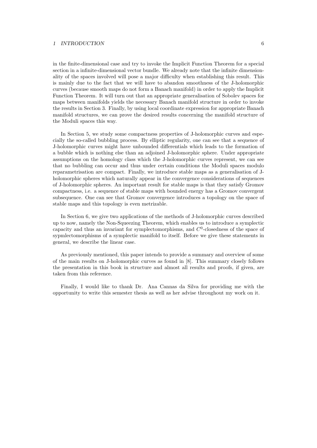#### *1 INTRODUCTION* 6

in the finite-dimensional case and try to invoke the Implicit Function Theorem for a special section in a infinite-dimensional vector bundle. We already note that the infinite dimensionality of the spaces involved will pose a major difficulty when establishing this result. This is mainly due to the fact that we will have to abandon smoothness of the J-holomorphic curves (because smooth maps do not form a Banach manifold) in order to apply the Implicit Function Theorem. It will turn out that an appropriate generalisation of Sobolev spaces for maps between manifolds yields the necessary Banach manifold structure in order to invoke the results in Section 3. Finally, by using local coordinate expression for appropriate Banach manifold structures, we can prove the desired results concerning the manifold structure of the Moduli spaces this way.

In Section 5, we study some compactness properties of J-holomorphic curves and especially the so-called bubbling process. By elliptic regularity, one can see that a sequence of J-holomorphic curves might have unbounded differentials which leads to the formation of a bubble which is nothing else than an adjoined J-holomorphic sphere. Under appropriate assumptions on the homology class which the J-holomorphic curves represent, we can see that no bubbling can occur and thus under certain conditions the Moduli spaces modulo reparametrisation are compact. Finally, we introduce stable maps as a generalisation of Jholomorphic spheres which naturally appear in the convergence considerations of sequences of J-holomorphic spheres. An important result for stable maps is that they satisfy Gromov compactness, i.e. a sequence of stable maps with bounded energy has a Gromov convergent subsequence. One can see that Gromov convergence introduces a topology on the space of stable maps and this topology is even metrizable.

In Section 6, we give two applications of the methods of J-holomorphic curves described up to now, namely the Non-Squeezing Theorem, which enables us to introduce a symplectic capacity and thus an invariant for symplectomorphisms, and *C*<sup>0</sup>-closedness of the space of sypmlectomorphisms of a symplectic manifold to itself. Before we give these statements in general, we describe the linear case.

As previously mentioned, this paper intends to provide a summary and overview of some of the main results on J-holomorphic curves as found in [8]. This summary closely follows the presentation in this book in structure and almost all results and proofs, if given, are taken from this reference.

Finally, I would like to thank Dr. Ana Cannas da Silva for providing me with the opportunity to write this semester thesis as well as her advise throughout my work on it.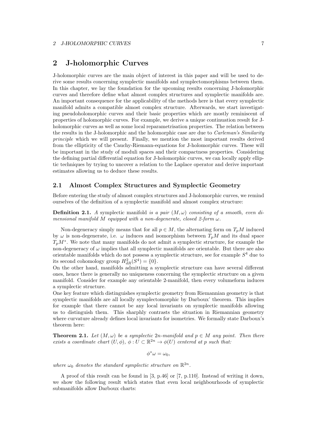### 2 J-holomorphic Curves

J-holomorphic curves are the main object of interest in this paper and will be used to derive some results concerning symplectic manifolds and symplectomorphisms between them. In this chapter, we lay the foundation for the upcoming results concerning J-holomorphic curves and therefore define what almost complex structures and symplectic manifolds are. An important consequence for the applicability of the methods here is that every symplectic manifold admits a compatible almost complex structure. Afterwards, we start investigating pseudoholomorphic curves and their basic properties which are mostly reminiscent of properties of holomorphic curves. For example, we derive a unique continuation result for Jholomorphic curves as well as some local reparametrisation properties. The relation between the results in the J-holomorphic and the holomorphic case are due to *Carleman's Similarity principle* which we will present. Finally, we mention the most important results derived from the ellipticity of the Cauchy-Riemann-equations for J-holomorphic curves. These will be important in the study of moduli spaces and their compactness properties. Considering the defining partial differential equation for J-holomorphic curves, we can locally apply elliptic techniques by trying to uncover a relation to the Laplace operator and derive important estimates allowing us to deduce these results.

#### 2.1 Almost Complex Structures and Symplectic Geometry

Before entering the study of almost complex structures and J-holomorphic curves, we remind ourselves of the definition of a symplectic manifold and almost complex structure:

**Definition 2.1.** A symplectic manifold is a pair  $(M, \omega)$  consisting of a smooth, even di*mensional manifold*  $M$  *equipped with a non-degenerate, closed 2-form*  $\omega$ *.* 

Non-degeneracy simply means that for all  $p \in M$ , the alternating form on  $T_pM$  induced by  $\omega$  is non-degenerate, i.e.  $\omega$  induces and isomorphism between  $T_pM$  and its dual space  $T_pM^*$ . We note that many manifolds do not admit a symplectic structure, for example the non-degeneracy of  $\omega$  implies that all symplectic manifolds are orientable. But there are also orientable manifolds which do not possess a symplectic structure, see for example *S*<sup>4</sup> due to its second cohomology group  $H_{dR}^2(S^4) = \{0\}.$ 

On the other hand, manifolds admitting a symplectic structure can have several different ones, hence there is generally no uniqueness concerning the symplectic structure on a given manifold. Consider for example any orientable 2-manifold, then every volumeform induces a symplectic structure.

One key feature which distinguishes symplectic geometry from Riemannian geometry is that symplectic manifolds are all locally symplectomorphic by Darboux' theorem. This implies for example that there cannot be any local invariants on symplectic manifolds allowing us to distinguish them. This sharphly contrasts the situation in Riemannian geometry where curvature already defines local invariants for isometries. We formally state Darboux's theorem here:

**Theorem 2.1.** Let  $(M, \omega)$  be a symplectic 2*n*-manifold and  $p \in M$  any point. Then there *exists a coordinate chart*  $(U, \phi)$ ,  $\phi: U \subset \mathbb{R}^{2n} \to \phi(U)$  *centered at p such that:* 

 $\phi^* \omega = \omega_0$ 

where  $\omega_0$  denotes the standard symplectic structure on  $\mathbb{R}^{2n}$ .

A proof of this result can be found in [3, p.46] or [7, p.110]. Instead of writing it down, we show the following result which states that even local neighbourhoods of symplectic submanifolds allow Darboux charts: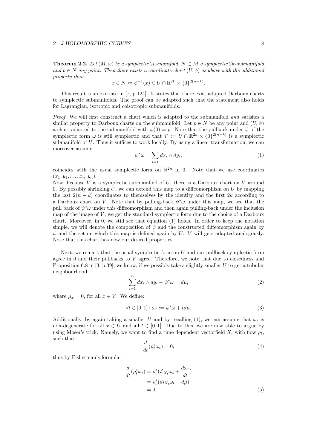**Theorem 2.2.** Let  $(M, \omega)$  be a symplectic 2*n*-manifold,  $N \subset M$  a symplectic 2*k*-submanifold and  $p \in N$  *any point. Then there exists a coordinate chart*  $(U, \phi)$  *as above with the additional property that:*

$$
x \in N \Leftrightarrow \phi^{-1}(x) \in U \cap \mathbb{R}^{2k} \times \{0\}^{2(n-k)}.
$$

This result is an exercise in [7, p.124]. It states that there exist adapted Darboux charts to symplectic submanifolds. The proof can be adapted such that the statement also holds for Lagrangian, isotropic and coisotropic submanifolds.

*Proof.* We will first construct a chart which is adapted to the submanifold *and* satisfies a similar property to Darboux charts on the submanifold. Let  $p \in N$  be any point and  $(U, \psi)$ a chart adapted to the submanifold with  $\psi(0) = p$ . Note that the pullback under  $\psi$  of the symplectic form  $\omega$  is still symplectic and that  $V := U \cap \mathbb{R}^{2k} \times \{0\}^{2(n-k)}$  is a symplectic submanifold of  $U$ . Thus it suffices to work locally. By using a linear transformation, we can moreover assume:

$$
\psi^* \omega = \sum_{i=1} dx_i \wedge dy_i, \tag{1}
$$

coincides with the usual symplectic form on  $\mathbb{R}^{2n}$  in 0. Note that we use coordinates  $(x_1, y_1, \ldots, x_n, y_n).$ 

Now, because *V* is a symplectic submanifold of *U*, there is a Darboux chart on *V* around 0. By possibly shrinking  $U$ , we can extend this map to a diffeomorphism on  $U$  by mapping the last  $2(n - k)$  coordinates to themselves by the identity and the first 2*k* according to a Darboux chart on *V*. Note that by pulling-back  $\psi^* \omega$  under this map, we see that the pull back of  $\psi^* \omega$  under this diffeomorphism and then again pulling-back under the inclusion map of the image of *V* , we get the standard symplectic form due to the choice of a Darboux chart. Moreover, in 0, we still see that equation (1) holds. In order to keep the notation simple, we will denote the composition of  $\psi$  and the constructed diffeomorphism again by  $\psi$  and the set on which this map is defined again by *U*. *V* will gets adapted analogously. Note that this chart has now our desired properties.

Next, we remark that the usual symplectic form on *U* and our pullback symplectic form agree in 0 and their pullbacks to *V* agree. Therefore, we note that due to closedness and Proposition 6.8 in [3, p.39], we know, if we possibly take a slightly smaller *U* to get a tubular neighbourhood:

$$
\sum_{i=1}^{n} dx_i \wedge dy_i - \psi^* \omega = d\mu,
$$
\n(2)

where  $\mu_x = 0$ , for all  $x \in V$ . We define:

$$
\forall t \in [0,1]: \omega_t := \psi^* \omega + t d\mu. \tag{3}
$$

Additionally, by again taking a smaller *U* and by recalling (1), we can assume that  $\omega_t$  is non-degenerate for all  $x \in U$  and all  $t \in [0,1]$ . Due to this, we are now able to argue by using Moser's trick. Namely, we want to find a time dependent vectorfield  $X_t$  with flow  $\rho_t$ , such that:

$$
\frac{d}{dt}(\rho_t^* \omega_t) = 0,\t\t(4)
$$

thus by Fisherman's formula:

$$
\frac{d}{dt}(\rho_t^* \omega_t) = \rho_t^* (\mathcal{L}_{X_t} \omega_t + \frac{d\omega_t}{dt})
$$
\n
$$
= \rho_t^* (d i_{X_t} \omega_t + d\mu)
$$
\n
$$
= 0.
$$
\n(5)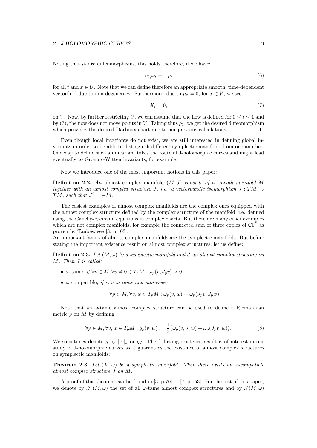Noting that  $\rho_t$  are diffeomorphisms, this holds therefore, if we have:

$$
i_{X_t}\omega_t = -\mu,\tag{6}
$$

for all  $t$  and  $x \in U$ . Note that we can define therefore an appropriate smooth, time-dependent vectorfield due to non-degeneracy. Furthermore, due to  $\mu_x = 0$ , for  $x \in V$ , we see:

$$
X_t = 0,\t\t(7)
$$

on *V*. Now, by further restricting *U*, we can assume that the flow is defined for  $0 \le t \le 1$  and by (7), the flow does not move points in *V*. Taking thus  $\rho_1$ , we get the desired diffeomorphism which provides the desired Darboux chart due to our previous calculations.  $\Box$ 

Even though local invariants do not exist, we are still interested in defining global invariants in order to be able to distinguish different symplectic manifolds from one another. One way to define such an invariant takes the route of J-holomorphic curves and might lead eventually to Gromov-Witten invariants, for example.

Now we introduce one of the most important notions in this paper:

Definition 2.2. *An* almost complex manifold (*M, J*) *consists of a smooth manifold M together with an almost complex structure J, i.e. a vectorbundle isomorphism*  $J : TM \rightarrow$  $TM$ *, such that*  $J^2 = -Id$ *.* 

The easiest examples of almost complex manifolds are the complex ones equipped with the almost complex structure defined by the complex structure of the manifold, i.e. defined using the Cauchy-Riemann equations in complex charts. But there are many other examples which are not complex manifolds, for example the connected sum of three copies of  $\mathbb{CP}^2$  as proven by Taubes, see [3, p.103].

An important family of almost complex manifolds are the symplectic manifolds. But before stating the important existence result on almost complex structures, let us define:

**Definition 2.3.** Let  $(M, \omega)$  be a symplectic manifold and *J* an almost complex structure on *M. Then J is called:*

- $\omega$ -tame, if  $\forall p \in M, \forall v \neq 0 \in T_nM : \omega_n(v, J_nv) > 0$ .
- $\omega$ -compatible, *if it is*  $\omega$ -tame and moreover:

$$
\forall p \in M, \forall v, w \in T_p M : \omega_p(v, w) = \omega_p(J_p v, J_p w).
$$

Note that an  $\omega$ -tame almost complex structure can be used to define a Riemannian metric *g* on *M* by defining:

$$
\forall p \in M, \forall v, w \in T_p M : g_p(v, w) := \frac{1}{2} \big( \omega_p(v, J_p w) + \omega_p(J_p v, w) \big).
$$
 (8)

We sometimes denote *g* by  $|\cdot|_J$  or  $g_J$ . The following existence result is of interest in our study of J-holomorphic curves as it guarantees the existence of almost complex structures on symplectic manifolds:

**Theorem 2.3.** Let  $(M, \omega)$  be a symplectic manifold. Then there exists an  $\omega$ -compatible *almost complex structure J on M.*

A proof of this theorem can be found in [3, p.70] or [7, p.153]. For the rest of this paper, we denote by  $\mathcal{J}_{\tau}(M,\omega)$  the set of all  $\omega$ -tame almost complex structures and by  $\mathcal{J}(M,\omega)$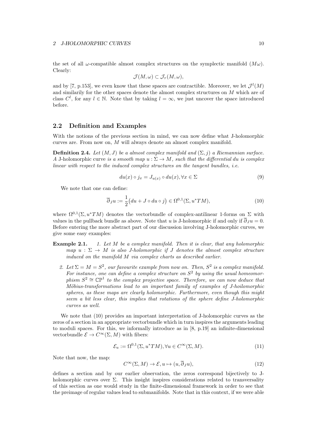the set of all  $\omega$ -compatible almost complex structures on the symplectic manifold  $(M\omega)$ . Clearly:

$$
\mathcal{J}(M,\omega) \subset \mathcal{J}_{\tau}(M,\omega),
$$

and by [7, p.153], we even know that these spaces are contractible. Moreover, we let  $\mathcal{J}^l(M)$ and similarily for the other spaces denote the almost complex structures on *M* which are of class  $C^l$ , for any  $l \in \mathbb{N}$ . Note that by taking  $l = \infty$ , we just uncover the space introduced before.

### 2.2 Definition and Examples

With the notions of the previous section in mind, we can now define what J-holomorphic curves are. From now on, *M* will always denote an almost complex manifold.

**Definition 2.4.** Let  $(M, J)$  be a almost complex manifold and  $(\Sigma, j)$  a Riemannian surface. *A* J-holomorphic curve *is a smooth map*  $u : \Sigma \to M$ , such that the differential du *is complex linear with respect to the induced complex structures on the tangent bundles, i.e.*

$$
du(x) \circ j_x = J_{u(x)} \circ du(x), \forall x \in \Sigma
$$
\n(9)

We note that one can define:

$$
\overline{\partial}_J u := \frac{1}{2} \big( du + J \circ du \circ j \big) \in \Omega^{0,1}(\Sigma, u^* TM), \tag{10}
$$

where  $\Omega^{0,1}(\Sigma, u^*TM)$  denotes the vectorbundle of complex-antilinear 1-forms on  $\Sigma$  with values in the pullback bundle as above. Note that *u* is J-holomorphic if and only if  $\overline{\partial}_I u = 0$ . Before entering the more abstract part of our discussion involving J-holomorphic curves, we give some easy examples:

#### Example 2.1. *1. Let M be a complex manifold. Then it is clear, that any holomorphic map*  $u : \Sigma \to M$  *is also J-holomorphic if J denotes the almost complex structure induced on the manifold M via complex charts as described earlier.*

2. Let  $\Sigma = M = S^2$ , our favourite example from now on. Then,  $S^2$  is a complex manifold. *For instance, one can define a complex structure on S*<sup>2</sup> *by using the usual homeomorphism*  $S^2 \cong \mathbb{CP}^1$  *to the complex projective space. Therefore, we can now deduce that M*öbius-transformations lead to an important family of examples of J-hoilomorphic *spheres, as these maps are clearly holomorphic. Furthermore, even though this might seem a bit less clear, this implies that rotations of the sphere define J-holomorphic curves as well.*

We note that (10) provides an important interpretation of J-holomorphic curves as the zeros of a section in an appropriate vectorbundle which in turn inspires the arguments leading to moduli spaces. For this, we informally introduce as in [8, p.19] an infinite-dimensional vectorbundle  $\mathcal{E} \to C^{\infty}(\Sigma, M)$  with fibers:

$$
\mathcal{E}_u := \Omega^{0,1}(\Sigma, u^*TM), \forall u \in C^\infty(\Sigma, M). \tag{11}
$$

Note that now, the map:

$$
C^{\infty}(\Sigma, M) \to \mathcal{E}, u \mapsto (u, \partial_J u), \tag{12}
$$

defines a section and by our earlier observation, the zeros correspond bijectively to Jholomorphic curves over  $\Sigma$ . This insight inspires considerations related to transversality of this section as one would study in the finite-dimensional framework in order to see that the preimage of regular values lead to submanifolds. Note that in this context, if we were able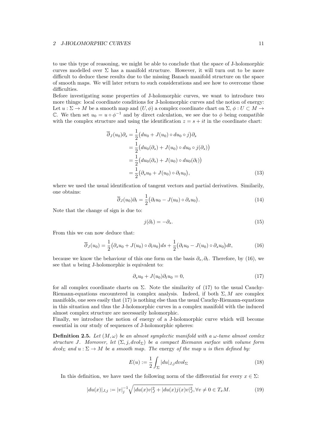to use this type of reasoning, we might be able to conclude that the space of J-holomorphic curves modelled over  $\Sigma$  has a manifold structure. However, it will turn out to be more difficult to deduce these results due to the missing Banach manifold structure on the space of smooth maps. We will later return to such considerations and see how to overcome these difficulties.

Before investigating some properties of J-holomorphic curves, we want to introduce two more things: local coordinate conditions for J-holomorphic curves and the notion of energy: Let  $u : \Sigma \to M$  be a smooth map and  $(U, \phi)$  a complex coordinate chart on  $\Sigma$ ,  $\phi : U \subset M \to$ C. We then set  $u_0 = u \circ \phi^{-1}$  and by direct calculation, we see due to  $\phi$  being compatible with the complex structure and using the identification  $z = s + it$  in the coordinate chart:

$$
\overline{\partial}_J(u_0)\partial_s = \frac{1}{2}\big(du_0 + J(u_0) \circ du_0 \circ j\big)\partial_s
$$
  
\n
$$
= \frac{1}{2}\big(du_0(\partial_s) + J(u_0) \circ du_0 \circ j(\partial_s)\big)
$$
  
\n
$$
= \frac{1}{2}\big(du_0(\partial_s) + J(u_0) \circ du_0(\partial_t)\big)
$$
  
\n
$$
= \frac{1}{2}\big(\partial_s u_0 + J(u_0) \circ \partial_t u_0\big), \tag{13}
$$

where we used the usual identification of tangent vectors and partial derivatives. Similarily, one obtains:

$$
\overline{\partial}_J(u_0)\partial_t = \frac{1}{2} \big(\partial_t u_0 - J(u_0) \circ \partial_s u_0\big). \tag{14}
$$

Note that the change of sign is due to:

$$
j(\partial_t) = -\partial_s. \tag{15}
$$

From this we can now deduce that:

$$
\overline{\partial}_J(u_0) = \frac{1}{2} \big( \partial_s u_0 + J(u_0) \circ \partial_t u_0 \big) ds + \frac{1}{2} \big( \partial_t u_0 - J(u_0) \circ \partial_s u_0 \big) dt, \tag{16}
$$

because we know the behaviour of this one form on the basis  $\partial_s, \partial_t$ . Therefore, by (16), we see that *u* being J-holomorphic is equivalent to:

$$
\partial_s u_0 + J(u_0)\partial_t u_0 = 0,\t\t(17)
$$

for all complex coordinate charts on  $\Sigma$ . Note the similarity of (17) to the usual Cauchy-Riemann-equations encountered in complex analysis. Indeed, if both  $\Sigma, M$  are complex manifolds, one sees easily that (17) is nothing else than the usual Cauchy-Riemann-equations in this situation and thus the J-holomorphic curves in a complex manifold with the induced almost complex structure are necessarily holomorphic.

Finally, we introduce the notion of energy of a J-holomorphic curve which will become essential in our study of sequences of J-holomorphic spheres:

**Definition 2.5.** Let  $(M, \omega)$  be an almost symplectic manifold with a  $\omega$ -tame almost comlex *structure J.* Moreover, let  $(\Sigma, j, dvol_{\Sigma})$  be a compact Riemann surface with volume form  $dvol_{\Sigma}$  *and*  $u : \Sigma \to M$  *be a smooth map. The energy of the map u is then defined by:* 

$$
E(u) := \frac{1}{2} \int_{\Sigma} |du|_{J,j} dvol_{\Sigma}
$$
\n(18)

In this definition, we have used the following norm of the differential for every  $x \in \Sigma$ :

$$
|du(x)|_{J,j} := |v|_j^{-1} \sqrt{|du(x)v|_J^2 + |du(x)j(x)v|_J^2}, \forall v \neq 0 \in T_xM.
$$
 (19)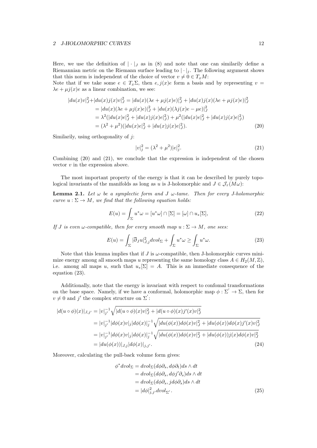Here, we use the definition of  $|\cdot|_J$  as in (8) and note that one can similarily define a Riemannian metric on the Riemann surface leading to  $|\cdot|_j$ . The following argument shows that this norm is independent of the choice of vector  $v \neq 0 \in T_xM$ :

Note that if we take some  $e \in T_x \Sigma$ , then  $e, j(x)e$  form a basis and by representing  $v =$  $\lambda e + \mu i(x)e$  as a linear combination, we see:

$$
\begin{aligned}\n|du(x)v|_J^2 + |du(x)j(x)v|_J^2 &= |du(x)(\lambda e + \mu j(x)e)|_J^2 + |du(x)j(x)(\lambda e + \mu j(x)e)|_J^2 \\
&= |du(x)(\lambda e + \mu j(x)e)|_J^2 + |du(x)(\lambda j(x)e - \mu e)|_J^2 \\
&= \lambda^2 (|du(x)e|_J^2 + |du(x)j(x)e|_J^2) + \mu^2 (|du(x)e|_J^2 + |du(x)j(x)e|_J^2) \\
&= (\lambda^2 + \mu^2)(|du(x)e|_J^2 + |du(x)j(x)e|_J^2).\n\end{aligned} \tag{20}
$$

Similarily, using orthogonality of *j*:

$$
|v|_j^2 = (\lambda^2 + \mu^2)|e|_j^2.
$$
\n(21)

Combining (20) and (21), we conclude that the expression is independent of the chosen vector *v* in the expression above.

The most important property of the energy is that it can be described by purely topological invariants of the manifolds as long as *u* is J-holomorphic and  $J \in \mathcal{J}_{\tau}(M\omega)$ :

**Lemma 2.1.** Let  $\omega$  be a symplectic form and *J*  $\omega$ -tame. Then for every *J*-holomorphic *curve*  $u : \Sigma \to M$ *, we find that the following equation holds:* 

$$
E(u) = \int_{\Sigma} u^* \omega = [u^* \omega] \cap [\Sigma] = [\omega] \cap u_*[\Sigma], \tag{22}
$$

*If J* is even  $\omega$ -compatible, then for every smooth map  $u : \Sigma \to M$ , one sees:

$$
E(u) = \int_{\Sigma} |\overline{\partial}_J u|_{J,j}^2 \, dvol_{\Sigma} + \int_{\Sigma} u^* \omega \ge \int_{\Sigma} u^* \omega. \tag{23}
$$

Note that this lemma implies that if *J* is  $\omega$ -compatible, then J-holomorphic curves minimize energy among all smooth maps *u* representing the same homology class  $A \in H_2(M, \mathbb{Z})$ , i.e. among all maps *u*, such that  $u_*[\Sigma] = A$ . This is an immediate consequence of the equation (23).

Additionally, note that the energy is invariant with respect to confomal transformations on the base space. Namely, if we have a conformal, holomorphic map  $\phi : \Sigma' \to \Sigma$ , then for  $v \neq 0$  and *j'* the complex structure on  $\Sigma'$ :

$$
|d(u \circ \phi)(x)|_{J,j'} = |v|_{j'}^{-1} \sqrt{|d(u \circ \phi)(x)v|_{J}^{2} + |d(u \circ \phi)(x)j'(x)v|_{J}^{2}}
$$
  
\n
$$
= |v|_{j'}^{-1} |d\phi(x)v|_{j} |d\phi(x)|_{j}^{-1} \sqrt{|du(\phi(x))d\phi(x)v|_{J}^{2} + |du(\phi(x))d\phi(x)j'(x)v|_{J}^{2}}
$$
  
\n
$$
= |v|_{j'}^{-1} |d\phi(x)v|_{j} |d\phi(x)|_{j}^{-1} \sqrt{|du(\phi(x))d\phi(x)v|_{J}^{2} + |du(\phi(x))j(x)d\phi(x)v|_{J}^{2}}
$$
  
\n
$$
= |du(\phi(x))|_{J,j} |d\phi(x)|_{j,j'}.
$$
\n(24)

Moreover, calculating the pull-back volume form gives:

$$
\phi^* dvol_{\Sigma} = dvol_{\Sigma} (d\phi \partial_s, d\phi \partial_t) ds \wedge dt \n= dvol_{\Sigma} (d\phi \partial_s, d\phi j' \partial_s) ds \wedge dt \n= dvol_{\Sigma} (d\phi \partial_s, j d\phi \partial_s) ds \wedge dt \n= |d\phi|_{j,j'}^2 dvol_{\Sigma'}.
$$
\n(25)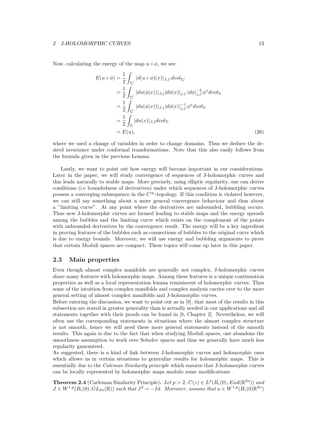Now, calculating the energy of the map  $u \circ \phi$ , we see:

$$
E(u \circ \phi) = \frac{1}{2} \int_{\Sigma'} |d(u \circ \phi)(x)|_{J,j'} dvol_{\Sigma'}
$$
  
\n
$$
= \frac{1}{2} \int_{\Sigma'} |du(\phi(x))|_{J,j} |d\phi(x)|_{j,j'} |d\phi|_{j,j'}^{-2} \phi^* dvol_{\Sigma}
$$
  
\n
$$
= \frac{1}{2} \int_{\Sigma'} |du(\phi(x))|_{J,j} |d\phi(x)|_{j,j'}^{-1} \phi^* dvol_{\Sigma}
$$
  
\n
$$
= \frac{1}{2} \int_{\Sigma} |du(x)|_{J,j} dvol_{\Sigma}
$$
  
\n
$$
= E(u), \qquad (26)
$$

where we used a change of variables in order to change domains. Thus we deduce the desired invariance under conformal transformations. Note that this also easily follows from the formula given in the previous Lemma.

Lastly, we want to point out how energy will become important in our considerations. Later in the paper, we will study convergence of sequences of J-holomorphic curves and this leads naturally to stable maps. More precisely, using elliptic regularity, one can derive conditions (i.e boundedness of derivatives) under which sequences of J-holomorphic curves possess a converging subsequence in the  $C^{\infty}$ -topology. If this condition is violated however, we can still say something about a more general convergence behaviour and thus about a "limiting curve". At any point where the derivatives are unbounded, bubbling occurs. Thus new J-holomorphic curves are formed leading to stable maps and the energy spreads among the bubbles and the limiting curve which exists on the complement of the points with unbounded derivatives by the convergence result. The energy will be a key ingredient in proving features of the bubbles such as connections of bubbles to the original curve which is due to energy bounds. Moreover, we will use energy and bubbling arguments to prove that certain Moduli spaces are compact. These topics will come up later in this paper.

#### 2.3 Main properties

Even though almost complex manifolds are generally not complex, J-holomorphic curves share many features with holomorphic maps. Among these features is a unique continuation properties as well as a local representation lemma reminiscent of holomorphic curves. Thus some of the intuition from complex manifolds and complex analysis carries over to the more general setting of almost complex manifolds and J-holomorphic curves.

Before entering the discussion, we want to point out as in [8], that most of the results in this subsection are stated in greater generality than is actually needed in our applications and all statements together with their proofs can be found in [8, Chapter 2]. Nevertheless, we will often use the corresponding statements in situations where the almost complex structure is not smooth, hence we will need these more general statements instead of the smooth results. This again is due to the fact that when studying Moduli spaces, one abandons the smoothness assumption to work over Sobolev spaces and thus we generally have much less regularity guaranteed.

As suggested, there is a kind of link between J-holomorphic curves and holomorphic ones which allows us in certain situations to generalize results for holomorphic maps. This is essentially due to the *Caleman Similarity principle* which ensures that J-holomorphic curves can be locally represented by holomorphic maps modulo some modifications:

**Theorem 2.4** (Carleman Similarity Principle). Let  $p > 2$ ,  $C(z) \in L^p(B_\epsilon(0), End(\mathbb{R}^{2n}))$  and  $J \in W^{1,p}(B_\epsilon(0), GL_{2n}(\mathbb{R}))$  *such that*  $J^2 = -Id$ *. Moreover, assume that*  $u \in W^{1,p}(B_\epsilon(0)\mathbb{R}^{2n})$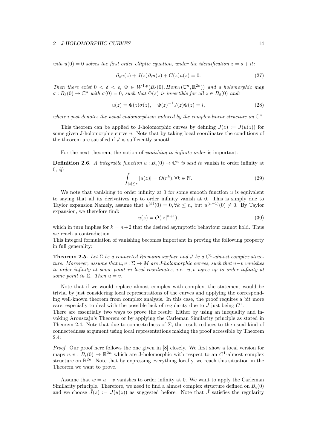*with*  $u(0) = 0$  *solves the first order elliptic equation, under the identification*  $z = s + it$ :

$$
\partial_s u(z) + J(z)\partial_t u(z) + C(z)u(z) = 0.
$$
\n(27)

*Then there exist*  $0 < \delta < \epsilon$ ,  $\Phi \in W^{1,p}(B_\delta(0), Hom_{\mathbb{R}}(\mathbb{C}^n, \mathbb{R}^{2n}))$  and a holomorphic map  $\sigma : B_\delta(0) \to \mathbb{C}^n$  *with*  $\sigma(0) = 0$ *, such that*  $\Phi(z)$  *is invertible for all*  $z \in B_\delta(0)$  *and:* 

$$
u(z) = \Phi(z)\sigma(z), \quad \Phi(z)^{-1}J(z)\Phi(z) = i,
$$
\n(28)

*where i just denotes the usual endomorphism induced by the complex-linear structure on*  $\mathbb{C}^n$ .

This theorem can be applied to J-holomorphic curves by defining  $\tilde{J}(z) := J(u(z))$  for some given J-holomorphic curve *u*. Note that by taking local coordinates the conditions of the theorem are satisfied if  $J$  is sufficiently smooth.

For the next theorem, the notion of *vanishing to infinite order* is important:

**Definition 2.6.** A integrable function  $u : B_{\epsilon}(0) \to \mathbb{C}^n$  is said to vanish to order infinity at 0*, if:*

$$
\int_{|z| \le r} |u(z)| = O(r^k), \forall k \in \mathbb{N}.
$$
\n(29)

We note that vanishing to order infinity at  $0$  for some smooth function  $u$  is equivalent to saying that all its derivatives up to order infinity vanish at 0. This is simply due to Taylor expansion Namely, assume that  $u^{(k)}(0) = 0, \forall k \leq n$ , but  $u^{(n+1)}(0) \neq 0$ . By Taylor expansion, we therefore find:

$$
u(z) = O(|z|^{n+1}),
$$
\n(30)

which in turn implies for  $k = n+2$  that the desired asymptotic behaviour cannot hold. Thus we reach a contradiction.

This integral formulation of vanishing becomes important in proving the following property in full generality:

**Theorem 2.5.** Let  $\Sigma$  be a connected Riemann surface and *J* be a  $C^1$ -almost complex struc*ture. Moreover, assume that*  $u, v: \Sigma \to M$  *are J-holomorphic curves, such that*  $u-v$  *vanishes to order infinity at some point in local coordinates, i.e. u, v agree up to order infinity at some point in*  $\Sigma$ *. Then*  $u = v$ *.* 

Note that if we would replace almost complex with complex, the statement would be trivial by just considering local representations of the curves and applying the corresponding well-known theorem from complex analysis. In this case, the proof requires a bit more care, especially to deal with the possible lack of regularity due to *J* just being  $C^1$ .

There are essentially two ways to prove the result: Either by using an inequality and invoking Aronszajn's Theorem or by applying the Carleman Similarity principle as stated in Theorem 2.4. Note that due to connectedness of  $\Sigma$ , the result reduces to the usual kind of connectedness argument using local representations making the proof accessible by Theorem 2.4:

*Proof.* Our proof here follows the one given in [8] closely. We first show a local version for maps  $u, v : B_{\epsilon}(0) \to \mathbb{R}^{2n}$  which are J-holomorphic with respect to an  $C^1$ -almost complex structure on  $\mathbb{R}^{2n}$ . Note that by expressing everything locally, we reach this situation in the Theorem we want to prove.

Assume that  $w = u - v$  vanishes to order infinity at 0. We want to apply the Carleman Similarity principle. Therefore, we need to find a almost complex structure defined on  $B_{\epsilon}(0)$ and we choose  $\hat{J}(z) := J(u(z))$  as suggested before. Note that  $\hat{J}$  satisfies the regularity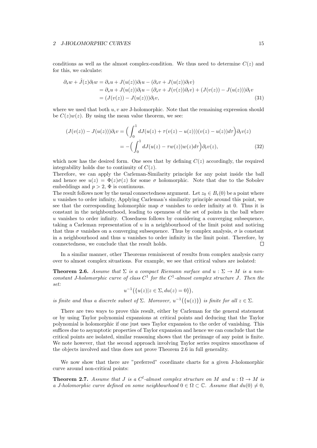conditions as well as the almost complex-condition. We thus need to determine  $C(z)$  and for this, we calculate:

$$
\partial_s w + \hat{J}(z)\partial_t w = \partial_s u + J(u(z))\partial_t u - (\partial_s v + J(u(z))\partial_t v)
$$
  
=  $\partial_s u + J(u(z))\partial_t u - (\partial_s v + J(v(z))\partial_t v) + (J(v(z)) - J(u(z)))\partial_t v$   
=  $(J(v(z)) - J(u(z)))\partial_t v,$  (31)

where we used that both *u, v* are J-holomorphic. Note that the remaining expression should be  $C(z)w(z)$ . By using the mean value theorem, we see:

$$
(J(v(z)) - J(u(z)))\partial_t v = \left(\int_0^1 dJ(u(z) + \tau(v(z) - u(z)))(v(z) - u(z))d\tau\right)\partial_t v(z)
$$
  
= 
$$
-\left(\int_0^1 dJ(u(z) - \tau w(z))w(z)d\tau\right)\partial_t v(z),
$$
 (32)

which now has the desired form. One sees that by defining  $C(z)$  accordingly, the required integrability holds due to continuity of *C*(*z*).

Therefore, we can apply the Carleman-Similarity principle for any point inside the ball and hence see  $u(z) = \Phi(z)\sigma(z)$  for some  $\sigma$  holomorphic. Note that due to the Sobolev embeddings and  $p > 2$ ,  $\Phi$  is continuous.

The result follows now by the usual connectedness argument. Let  $z_0 \in B_{\epsilon}(0)$  be a point where *u* vanishes to order infinity, Applying Carleman's similarity principle around this point, we see that the corresponding holomorphic map  $\sigma$  vanishes to order infinity at 0. Thus it is constant in the neighbourhood, leading to openness of the set of points in the ball where *u* vanishes to order infinity. Closedness follows by considering a converging subsequence, taking a Carleman representation of *u* in a neighbourhood of the limit point and noticing that thus  $\sigma$  vanishes on a converging subsequence. Thus by complex analysis,  $\sigma$  is constant in a neighbourhood and thus *u* vanishes to order infinity in the limit point. Therefore, by connectedness, we conclude that the result holds.  $\Box$ 

In a similar manner, other Theorems reminiscent of results from complex analysis carry over to almost complex situations. For example, we see that critical values are isolated:

**Theorem 2.6.** Assume that  $\Sigma$  is a compact Riemann surface and  $u : \Sigma \to M$  is a non*constant J-holomorphic curve of class*  $C^1$  *for the*  $C^1$ *-almost complex structure J. Then the set:*

$$
u^{-1}(\{u(z)|z \in \Sigma, du(z) = 0\}),
$$

*is finite and thus a discrete subset of*  $\Sigma$ *. Moreover,*  $u^{-1}(\{u(z)\})$  *is finite for all*  $z \in \Sigma$ *.* 

There are two ways to prove this result, either by Carleman for the general statement or by using Taylor polynomial expansions at critical points and deducing that the Taylor polynomial is holomorphic if one just uses Taylor expansion to the order of vanishing. This suffices due to asymptotic properties of Taylor expansion and hence we can conclude that the critical points are isolated, similar reasoning shows that the preimage of any point is finite. We note however, that the second approach involving Taylor series requires smoothness of the objects involved and thus does not prove Theorem 2.6 in full generality.

We now show that there are "preferred" coordinate charts for a given J-holomorphic curve around non-critical points:

**Theorem 2.7.** Assume that *J* is a  $C^l$ -almost complex structure on  $M$  and  $u : \Omega \to M$  is *a J-holomorphic curve defined on some neighbourhood*  $0 \in \Omega \subset \mathbb{C}$ . Assume that  $du(0) \neq 0$ ,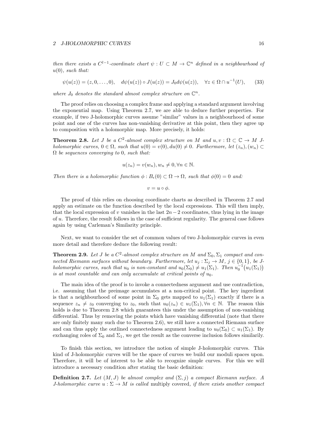#### 2 J-HOLOMORPHIC CURVES 2000 16

*then there exists a*  $C^{l-1}$ -coordinate chart  $\psi : U \subset M \to \mathbb{C}^n$  defined in a neighbourhood of *u*(0)*, such that:*

$$
\psi(u(z)) = (z, 0, \dots, 0), \quad d\psi(u(z)) \circ J(u(z)) = J_0 d\psi(u(z)), \quad \forall z \in \Omega \cap u^{-1}(U), \tag{33}
$$

where  $J_0$  denotes the standard almost complex structure on  $\mathbb{C}^n$ .

The proof relies on choosing a complex frame and applying a standard argument involving the exponential map. Using Theorem 2.7, we are able to deduce further properties. For example, if two J-holomorphic curves assume "similar" values in a neighbourhood of some point and one of the curves has non-vanishing derivative at this point, then they agree up to composition with a holomorphic map. More precisely, it holds:

**Theorem 2.8.** Let *J* be a  $C^2$ -almost complex structure on M and  $u, v : \Omega \subset \mathbb{C} \to M$  *Jholomorphic curves,*  $0 \in \Omega$ *, such that*  $u(0) = v(0), du(0) \neq 0$ *. Furthermore, let*  $(z_n), (w_n) \subset$ ⌦ *be sequences converging to* 0*, such that:*

$$
u(z_n) = v(w_n), w_n \neq 0, \forall n \in \mathbb{N}.
$$

*Then there is a holomorphic function*  $\phi : B_{\epsilon}(0) \subset \Omega \to \Omega$ , such that  $\phi(0) = 0$  and:

$$
v = u \circ \phi.
$$

The proof of this relies on choosing coordinate charts as described in Theorem 2.7 and apply an estimate on the function described by the local expressions. This will then imply, that the local expression of *v* vanishes in the last  $2n-2$  coordinates, thus lying in the image of *u*. Therefore, the result follows in the case of sufficient regularity. The general case follows again by using Carleman's Similarity principle.

Next, we want to consider the set of common values of two J-holomorphic curves in even more detail and therefore deduce the following result:

**Theorem 2.9.** Let *J* be a  $C^2$ -almost complex structure on *M* and  $\Sigma_0$ ,  $\Sigma_1$  compact and con*nected Riemann surfaces without boundary. Furthermore, let*  $u_j : \Sigma_j \to M$ *,*  $j \in \{0,1\}$ *, be Jholomorphic curves, such that*  $u_0$  *is non-constant and*  $u_0(\Sigma_0) \neq u_1(\Sigma_1)$ *. Then*  $u_0^{-1}(u_1(\Sigma_1))$ *is at most countable and can only accumulate at critical points of*  $u_0$ .

The main idea of the proof is to invoke a connectedness argument and use contradiction, i.e. assuming that the preimage accumulates at a non-critical point. The key ingerdient is that a neighbourhood of some point in  $\Sigma_0$  gets mapped to  $u_1(\Sigma_1)$  exactly if there is a sequence  $z_n \neq z_0$  converging to  $z_0$ , such that  $u_0(z_n) \in u_1(\Sigma_1), \forall n \in \mathbb{N}$ . The reason this holds is due to Theorem 2.8 which guarantees this under the assumption of non-vanishing differential. Thus by removing the points which have vanishing differential (note that there are only finitely many such due to Theorem 2.6), we still have a connected Riemann surface and can thus apply the outlined connectedness argument leading to  $u_0(\Sigma_0) \subset u_1(\Sigma_1)$ . By exchanging roles of  $\Sigma_0$  and  $\Sigma_1$ , we get the result as the converse inclusion follows similarily.

To finish this section, we introduce the notion of simple J-holomorphic curves. This kind of J-holomorphic curves will be the space of curves we build our moduli spaces upon. Therefore, it will be of interest to be able to recognize simple curves. For this we will introduce a necessary condition after stating the basic definition:

**Definition 2.7.** *Let*  $(M, J)$  *be almost complex and*  $(\Sigma, j)$  *a compact Riemann surface. A J-holomorphic curve*  $u : \Sigma \to M$  *is called* multiply covered, *if there exists another compact*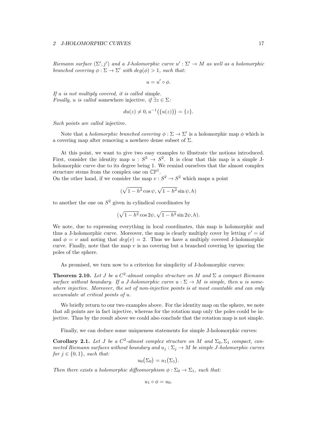*Riemann surface*  $(\Sigma', j')$  *and a J-holomorphic curve*  $u' : \Sigma' \to M$  *as well as a holomorphic branched covering*  $\phi : \Sigma \to \Sigma'$  *with*  $deg(\phi) > 1$ *, such that:* 

$$
u=u'\circ\phi.
$$

*If u is not multiply covered, it is called* simple*. Finally, u is called* somewhere injective, if  $\exists z \in \Sigma$ :

$$
du(z) \neq 0, u^{-1}(\{u(z)\}) = \{z\}.
$$

*Such points are called* injective*.*

Note that a *holomorphic branched covering*  $\phi : \Sigma \to \Sigma'$  is a holomorphic map  $\phi$  which is a covering map after removing a nowhere dense subset of  $\Sigma$ .

At this point, we want to give two easy examples to illustrate the notions introduced. First, consider the identity map  $u : S^2 \to S^2$ . It is clear that this map is a simple Jholomorphic curve due to its degree being 1. We remind ourselves that the almost complex structure stems from the complex one on  $\mathbb{CP}^1$ .

On the other hand, if we consider the map  $v : S^2 \to S^2$  which maps a point

$$
(\sqrt{1-h^2}\cos\psi,\sqrt{1-h^2}\sin\psi,h)
$$

to another the one on  $S<sup>2</sup>$  given in cylindical coordinates by

$$
(\sqrt{1-h^2}\cos 2\psi, \sqrt{1-h^2}\sin 2\psi, h).
$$

We note, due to expressing everything in local coordinates, this map is holomorphic and thus a J-holomorphic curve. Moreover, the map is clearly multiply cover by letting  $v' = id$ and  $\phi = v$  and noting that  $deg(v) = 2$ . Thus we have a multiply covered J-holomorphic curve. Finally, note that the map *v* is no covering but a branched covering by ignoring the poles of the sphere.

As promised, we turn now to a criterion for simplicity of J-holomorphic curves:

**Theorem 2.10.** Let *J* be a  $C^2$ -almost complex structure on *M* and  $\Sigma$  a compact Riemann surface without boundary. If a *J*-holomorphic curve  $u : \Sigma \to M$  is simple, then *u* is some*where injective. Moreover, the set of non-injective points is at most countable and can only accumulate at critical points of u.*

We briefly return to our two examples above. For the identity map on the sphere, we note that all points are in fact injective, whereas for the rotation map only the poles could be injective. Thus by the result above we could also conclude that the rotation map is not simple.

Finally, we can deduce some uniqueness statements for simple J-holomorphic curves:

Corollary 2.1. Let *J* be a  $C^2$ -almost complex structure on *M* and  $\Sigma_0$ ,  $\Sigma_1$  compact, con*nected Riemann surfaces without boundary and*  $u_j : \Sigma_j \to M$  *be simple J*-holomorphic curves *for*  $j \in \{0, 1\}$ *, such that:* 

$$
u_0(\Sigma_0)=u_1(\Sigma_1).
$$

*Then there exists a holomorphic diffeomorphism*  $\phi : \Sigma_0 \to \Sigma_1$ , such that:

$$
u_1 \circ \phi = u_0.
$$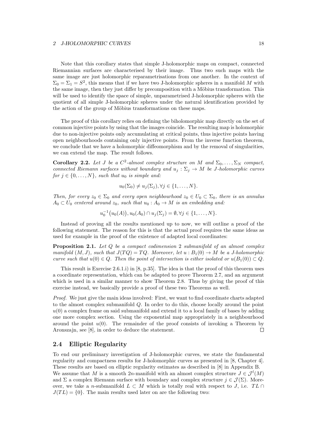Note that this corollary states that simple J-holomorphic maps on compact, connected Riemannian surfaces are characterised by their image. Thus two such maps with the same image are just holomorphic reparametrisations from one another. In the context of  $\Sigma_0 = \Sigma_1 = S^2$ , this means that if we have two J-holomorphic spheres in a manifold M with the same image, then they just differ by precomposition with a Möbius transformation. This will be used to identify the space of simple, unparametrised J-holomorphic spheres with the quotient of all simple J-holomorphic spheres under the natural identification provided by the action of the group of Möbius transformations on these maps.

The proof of this corollary relies on defining the biholomorphic map directly on the set of common injective points by using that the images coincide. The resulting map is holomorphic due to non-injective points only accumulating at critical points, thus injective points having open neighbourhoods containing only injective points. From the inverse function theorem, we conclude that we have a holomorphic diffeomorphism and by the removal of singularities, we can extend the map. The result follows.

**Corollary 2.2.** Let *J* be a  $C^2$ -almost complex structure on *M* and  $\Sigma_0, \ldots, \Sigma_N$  compact, *connected Riemann surfaces without boundary and*  $u_j : \Sigma_j \to M$  *be J*-holomorphic curves *for*  $j \in \{0, \ldots, N\}$ *, such that*  $u_0$  *is simple and:* 

$$
u_0(\Sigma_0) \neq u_j(\Sigma_j), \forall j \in \{1, \ldots, N\}.
$$

*Then, for every*  $z_0 \in \Sigma_0$  *and every open neighbourhood*  $z_0 \in U_0 \subset \Sigma_0$ *, there is an annulus*  $A_0 \subset U_0$  *centered around*  $z_0$ *, such that*  $u_0: A_0 \to M$  *is an embedding and:* 

$$
u_0^{-1}(u_0(A)), u_0(A_0) \cap u_j(\Sigma_j) = \emptyset, \forall j \in \{1, ..., N\}.
$$

Instead of proving all the results mentioned up to now, we will outline a proof of the following statement. The reason for this is that the actual proof requires the same ideas as used for example in the proof of the existence of adapted local coordinates:

Proposition 2.1. *Let Q be a compact codimension* 2 *submanifold of an almost complex manifold*  $(M, J)$ *, such that*  $J(TQ) = TQ$ *. Moreover, let*  $u : B_1(0) \to M$  *be a J-holomorphic curve such that*  $u(0) \in Q$ *. Then the point of intersection is either isolated or*  $u(B_1(0)) \subset Q$ *.* 

This result is Exercise 2.6.1.i) in  $[8, p.35]$ . The idea is that the proof of this theorem uses a coordinate representation, which can be adapted to prove Theorem 2.7, and an argument which is used in a similar manner to show Theorem 2.8. Thus by giving the proof of this exercise instead, we basically provide a proof of these two Theorems as well.

*Proof.* We just give the main ideas involved: First, we want to find coordinate charts adapted to the almost complex submanifold *Q*. In order to do this, choose locally around the point  $u(0)$  a complex frame on said submanifold and extend it to a local family of bases by adding one more complex section. Using the exponential map appropriately in a neighbourhood around the point  $u(0)$ . The remainder of the proof consists of invoking a Theorem by Aronszajn, see [8], in order to deduce the statement.  $\Box$ 

#### 2.4 Elliptic Regularity

To end our preliminary investigation of J-holomorphic curves, we state the fundamental regularity and compactness results for J-holomorphic curves as presented in [8, Chapter 4]. These results are based on elliptic regularity estimates as described in [8] in Appendix B. We assume that *M* is a smooth 2*n*-manifold with an almost complex structure  $J \in \mathcal{J}^l(M)$ and  $\Sigma$  a complex Riemann surface with boundary and complex structure  $j \in \mathcal{J}(\Sigma)$ . Moreover, we take a *n*-submanifold  $L \subset M$  which is totally real with respect to *J*, i.e.  $TL \cap$  $J(TL) = \{0\}$ . The main results used later on are the following two: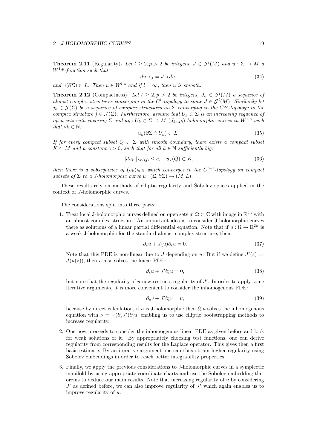**Theorem 2.11** (Regularity). Let  $l \geq 2, p > 2$  be integers,  $J \in \mathcal{J}^l(M)$  and  $u : \Sigma \to M$  and  $u : \Sigma \to M$ *W*1*,p-function such that:*

$$
du \circ j = J \circ du,\tag{34}
$$

 $and u(\partial \Sigma) \subset L$ *. Then*  $u \in W^{l,p}$  *and if*  $l = \infty$ *, then u is smooth.* 

**Theorem 2.12** (Compactness). Let  $l \geq 2, p > 2$  be integers,  $J_k \in \mathcal{J}^l(M)$  a sequence of *almost complex structures converging in the*  $C^l$ -topology to some  $J \in \mathcal{J}^l(M)$ *. Similarily let*  $j_k \in \mathcal{J}(\Sigma)$  *be a sequence of complex structures on*  $\Sigma$  *converging in the*  $C^{\infty}$ -topology to the *complex structure*  $j \in \mathcal{J}(\Sigma)$ *. Furthermore, assume that*  $U_k \subset \Sigma$  *is an increasing sequence of open sets with covering*  $\Sigma$  *and*  $u_k : U_k \subset \Sigma \to M$  ( $J_k, j_k$ )*-holomorphic curves in*  $W^{1,p}$  *such that*  $\forall k \in \mathbb{N}$ *:* 

$$
u_k(\partial \Sigma \cap U_k) \subset L. \tag{35}
$$

*If for every compect subset*  $Q \subset \Sigma$  *with smooth boundary, there exists a compact subset*  $K \subset M$  *and a constant*  $c > 0$ *, such that for all*  $k \in \mathbb{N}$  *sufficiently big:* 

$$
||du_k||_{L^p(Q)} \le c, \quad u_k(Q) \subset K,\tag{36}
$$

*then there is a subsequence of*  $(u_k)_{k \in \mathbb{N}}$  *which converges in the*  $C^{l-1}$ -*topology on compact subsets of*  $\Sigma$  *to a J-holomorphic curve*  $u : (\Sigma, \partial \Sigma) \to (M, L)$ *.* 

These results rely on methods of elliptic regularity and Sobolev spaces applied in the context of *J*-holomorphic curves.

The considerations split into three parts:

1. Treat local J-holomorphic curves defined on open sets in  $\Omega \subset \mathbb{C}$  with image in  $\mathbb{R}^{2n}$  with an almost complex structure. An important idea is to consider J-holomorphic curves there as solutions of a linear partial differential equation. Note that if  $u : \Omega \to \mathbb{R}^{2n}$  is a weak J-holomorphic for the standard almost complex structure, then:

$$
\partial_s u + J(u)\partial_t u = 0. \tag{37}
$$

Note that this PDE is non-linear due to *J* depending on *u*. But if we define  $J'(z)$  :=  $J(u(z))$ , then *u* also solves the linear PDE:

$$
\partial_s u + J' \partial_t u = 0,\tag{38}
$$

but note that the regularity of  $u$  now restricts regularity of  $J'$ . In order to apply some iterative arguments, it is more convenient to consider the inhomogenous PDE:

$$
\partial_s v + J' \partial_t v = \nu,\tag{39}
$$

because by direct calculation, if *u* is J-holomorphic then  $\partial_s u$  solves the inhomogenous equation with  $\nu = -(\partial_s J')\partial_t u$ , enabling us to use elliptic bootstrapping methods to increase regularity.

- 2. One now proceeds to consider the inhomogenous linear PDE as given before and look for weak solutions of it. By appropriately choosing test functions, one can derive regularity from corresponding results for the Laplace operator. This gives then a first basic estimate. By an iterative argument one can thus obtain higher regularity using Sobolev embeddings in order to reach better integrability properties.
- 3. Finally, we apply the previous considerations to J-holomorphic curves in a symplectic manifold by using appropriate coordinate charts and use the Sobolev embedding theorems to deduce our main results. Note that increasing regularity of *u* by considering  $J^{\prime}$  as defined before, we can also improve regularity of  $J^{\prime}$  which again enables us to improve regularity of *u*.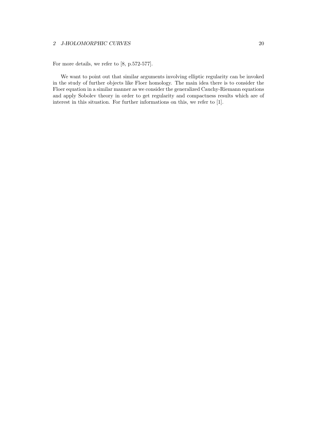For more details, we refer to [8, p.572-577].

We want to point out that similar arguments involving elliptic regularity can be invoked in the study of further objects like Floer homology. The main idea there is to consider the Floer equation in a similar manner as we consider the generalized Cauchy-Riemann equations and apply Sobolev theory in order to get regularity and compactness results which are of interest in this situation. For further informations on this, we refer to [1].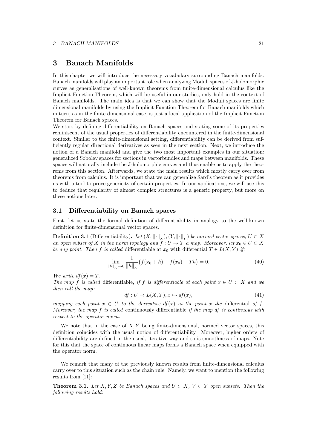### 3 Banach Manifolds

In this chapter we will introduce the necessary vocabulary surrounding Banach manifolds. Banach manifolds will play an important role when analyzing Moduli spaces of J-holomorphic curves as generalisations of well-known theorems from finite-dimensional calculus like the Implicit Function Theorem, which will be useful in our studies, only hold in the context of Banach manifolds. The main idea is that we can show that the Moduli spaces are finite dimensional manifolds by using the Implicit Function Theorem for Banach manifolds which in turn, as in the finite dimensional case, is just a local application of the Implicit Function Theorem for Banach spaces.

We start by defining differentiability on Banach spaces and stating some of its properties reminiscent of the usual properties of differentiability encountered in the finite-dimensional context. Similar to the finite-dimensional setting, differentiability can be derived from sufficiently regular directional derivatives as seen in the next section. Next, we introduce the notion of a Banach manifold and give the two most important examples in our situation: generalized Sobolev spaces for sections in vectorbundles and maps between manifolds. These spaces will naturally include the J-holomorphic curves and thus enable us to apply the theorems from this section. Afterwards, we state the main results which mostly carry over from theorems from calculus. It is important that we can generalize Sard's theorem as it provides us with a tool to prove genericity of certain properties. In our applications, we will use this to deduce that regularity of almost complex structures is a generic property, but more on these notions later.

#### 3.1 Differentiability on Banach spaces

First, let us state the formal definition of differentiability in analogy to the well-known definition for finite-dimensional vector spaces.

**Definition 3.1** (Differentiability). Let  $(X, \|\cdot\|_X)$ ,  $(Y, \|\cdot\|_Y)$  be normed vector spaces,  $U \subset X$ an open subset of X in the norm topology and  $f: U \to Y$  a map. Moreover, let  $x_0 \in U \subset X$ *be any point. Then f is called* differentiable at  $x_0$  with differential  $T \in L(X, Y)$  *if:* 

$$
\lim_{\|h\|_{X}\to 0} \frac{1}{\|h\|_{X}} \big(f(x_{0}+h) - f(x_{0}) - Th\big) = 0. \tag{40}
$$

*We write*  $df(x) = T$ *.* 

*The map f is called* differentiable, *if f is differentiable at each point*  $x \in U \subset X$  *and we then call the map:*

$$
df: U \to L(X, Y), x \mapsto df(x), \tag{41}
$$

*mapping each point*  $x \in U$  *to the derivative df(x) at the point x the differential of f. Moreover, the map f is called* continuously differentiable *if the map df is continuous with respect to the operator norm.*

We note that in the case of *X, Y* being finite-dimensional, normed vector spaces, this definition coincides with the usual notion of differentiability. Moreover, higher orders of differentiability are defined in the usual, iterative way and so is smoothness of maps. Note for this that the space of continuous linear maps forms a Banach space when equipped with the operator norm.

We remark that many of the previously known results from finite-dimensional calculus carry over to this situation such as the chain rule. Namely, we want to mention the following results from [11]:

**Theorem 3.1.** Let  $X, Y, Z$  be Banach spaces and  $U \subset X, V \subset Y$  open subsets. Then the *following results hold:*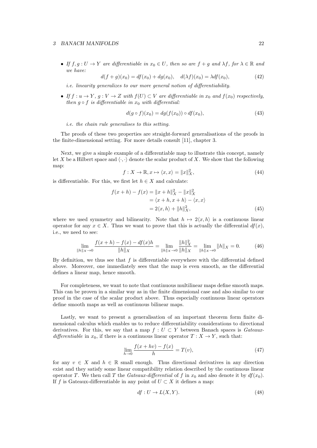#### *3 BANACH MANIFOLDS* 22

• If  $f, g: U \to Y$  are differentiable in  $x_0 \in U$ , then so are  $f + g$  and  $\lambda f$ , for  $\lambda \in \mathbb{R}$  and *we have:*

$$
d(f+g)(x_0) = df(x_0) + dg(x_0), \quad d(\lambda f)(x_0) = \lambda df(x_0), \tag{42}
$$

*i.e. linearity generalizes to our more general notion of differentiability.* 

• If  $f: u \to Y$ ,  $g: V \to Z$  with  $f(U) \subset V$  are differentiable in  $x_0$  and  $f(x_0)$  respectively, *then*  $g \circ f$  *is differentiable in*  $x_0$  *with differential:* 

$$
d(g \circ f)(x_0) = dg(f(x_0)) \circ df(x_0), \tag{43}
$$

*i.e. the chain rule generalises to this setting.*

The proofs of these two properties are straight-forward generalisations of the proofs in the finite-dimensional setting. For more details consult [11], chapter 3.

Next, we give a simple example of a differentiable map to illustrate this concept, namely let X be a Hilbert space and  $\langle \cdot, \cdot \rangle$  denote the scalar product of X. We show that the following map:

$$
f: X \to \mathbb{R}, x \mapsto \langle x, x \rangle = ||x||_X^2,
$$
\n(44)

is differentiable. For this, we first let  $h \in X$  and calculate:

$$
f(x+h) - f(x) = ||x+h||_X^2 - ||x||_X^2
$$
  
=  $\langle x+h, x+h \rangle - \langle x, x \rangle$   
=  $2\langle x, h \rangle + ||h||_X^2$ , (45)

where we used symmetry and bilinearity. Note that  $h \mapsto 2\langle x, h \rangle$  is a continuous linear operator for any  $x \in X$ . Thus we want to prove that this is actually the differential  $df(x)$ , i.e., we need to see:

$$
\lim_{\|h\|_{X}\to 0} \frac{f(x+h) - f(x) - df(x)h}{\|h\|_{X}} = \lim_{\|h\|_{X}\to 0} \frac{\|h\|_{X}^{2}}{\|h\|_{X}} = \lim_{\|h\|_{X}\to 0} \|h\|_{X} = 0.
$$
 (46)

By definition, we thus see that  $f$  is differentiable everywhere with the differential defined above. Moreover, one immediately sees that the map is even smooth, as the differential defines a linear map, hence smooth.

For completeness, we want to note that continuous multilinear maps define smooth maps. This can be proven in a similar way as in the finite dimensional case and also similar to our proof in the case of the scalar product above. Thus especially continuous linear operators define smooth maps as well as continuous bilinear maps.

Lastly, we want to present a generalisation of an important theorem form finite dimensional calculus which enables us to reduce differentiability considerations to directional derivatives. For this, we say that a map  $f: U \subset Y$  between Banach spaces is *Gateauxdifferentiable* in  $x_0$ , if there is a continuous linear operator  $T : X \to Y$ , such that:

$$
\lim_{h \to 0} \frac{f(x + hv) - f(x)}{h} = T(v),
$$
\n(47)

for any  $v \in X$  and  $h \in \mathbb{R}$  small enough. Thus directional derivatives in any direction exist and they satisfy some linear compatibility relation described by the continuous linear operator *T*. We then call *T* the *Gateaux-differential* of *f* in  $x_0$  and also denote it by  $df(x_0)$ . If *f* is Gateaux-differentiable in any point of  $U \subset X$  it defines a map:

$$
df: U \to L(X, Y). \tag{48}
$$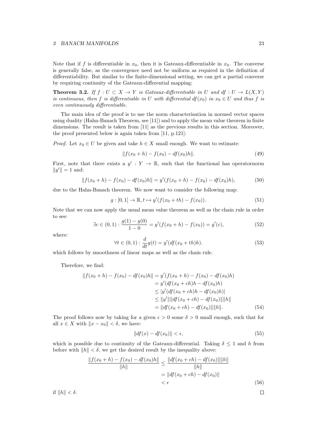#### *3 BANACH MANIFOLDS* 23

Note that if *f* is differentiable in  $x_0$ , then it is Gateaux-differentiable in  $x_0$ . The converse is generally false, as the convergence need not be uniform as required in the definition of differentiability. But similar to the finite-dimensional setting, we can get a partial converse by requiring continuity of the Gateaux-differential mapping:

**Theorem 3.2.** If  $f: U \subset X \to Y$  is Gateaux-differentiable in U and  $df: U \to L(X, Y)$ *is continuous, then f is differentiable in U with differential*  $df(x_0)$  *in*  $x_0 \in U$  *and thus f is even continuously differentiable.* 

The main idea of the proof is to use the norm characterisation in normed vector spaces using duality (Hahn-Banach Theorem, see [11]) and to apply the mean value theorem in finite dimensions. The result is taken from [11] as the previous results in this section. Moreover, the proof presented below is again taken from [11, p.121]:

*Proof.* Let  $x_0 \in U$  be given and take  $h \in X$  small enough. We want to estimate:

$$
|| f(x_0 + h) - f(x_0) - df(x_0)h||. \tag{49}
$$

First, note that there exists a  $y' : Y \to \mathbb{R}$ , such that the functional has operatornorm  $||y'|| = 1$  and:

$$
|| f(x_0 + h) - f(x_0) - df(x_0)h|| = y'(f(x_0 + h) - f(x_0) - df(x_0)h),
$$
\n(50)

due to the Hahn-Banach theorem. We now want to consider the following map:

$$
g: [0, 1] \to \mathbb{R}, t \mapsto y'(f(x_0 + th) - f(x_0)). \tag{51}
$$

Note that we can now apply the usual mean value theorem as well as the chain rule in order to see:

$$
\exists c \in (0,1) : \frac{g(1) - g(0)}{1 - 0} = y'(f(x_0 + h) - f(x_0)) = g'(c), \tag{52}
$$

where:

$$
\forall t \in (0,1) : \frac{d}{dt}g(t) = y'(df(x_0 + th)h).
$$
 (53)

which follows by smoothness of linear maps as well as the chain rule.

Therefore, we find:

$$
||f(x_0 + h) - f(x_0) - df(x_0)h|| = y'(f(x_0 + h) - f(x_0) - df(x_0)h)
$$
  
\n
$$
= y'(df(x_0 + ch)h - df(x_0)h)
$$
  
\n
$$
\le |y'(df(x_0 + ch)h - df(x_0)h)|
$$
  
\n
$$
\le ||y'|| ||df(x_0 + ch) - df(x_0)|| ||h||
$$
  
\n
$$
= ||df(x_0 + ch) - df(x_0)|| ||h||.
$$
 (54)

The proof follows now by taking for a given  $\epsilon > 0$  some  $\delta > 0$  small enough, such that for all  $x \in X$  with  $\|x - x_0\| < \delta$ , we have:

$$
||df(x) - df(x_0)|| < \epsilon,
$$
\n(55)

which is possible due to continuity of the Gateaux-differential. Taking  $\delta \leq 1$  and h from before with  $||h|| < \delta$ , we get the desired result by the inequality above:

$$
\frac{\|f(x_0 + h) - f(x_0) - df(x_0)h\|}{\|h\|} \le \frac{\|df(x_0 + ch) - df(x_0)\| \|h\|}{\|h\|}
$$

$$
= \|df(x_0 + ch) - df(x_0)\|
$$

$$
< \epsilon
$$
(56)

if  $\|h\| < \delta$ .

 $\Box$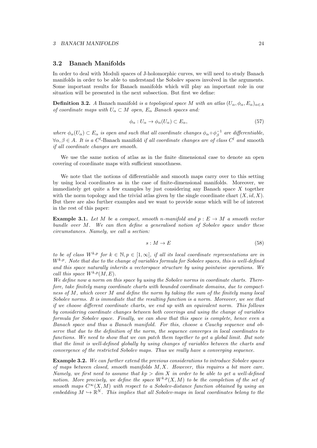#### 3.2 Banach Manifolds

In order to deal with Moduli spaces of J-holomorphic curves, we will need to study Banach manifolds in order to be able to understand the Sobolev spaces involved in the arguments. Some important results for Banach manifolds which will play an important role in our situation will be presented in the next subsection. But first we define:

**Definition 3.2.** *A* Banach manifold *is a topological space M* with an atlas  $(U_\alpha, \phi_\alpha, E_\alpha)_{\alpha \in A}$ *of coordinate maps with*  $U_{\alpha} \subset M$  *open,*  $E_{\alpha}$  *Banach spaces and:* 

$$
\phi_{\alpha}: U_{\alpha} \to \phi_{\alpha}(U_{\alpha}) \subset E_{\alpha}, \tag{57}
$$

where  $\phi_{\alpha}(U_{\alpha}) \subset E_{\alpha}$  *is open and such that all coordinate changes*  $\phi_{\alpha} \circ \phi_{\beta}^{-1}$  *are differentiable,*  $\forall \alpha, \beta \in A$ . It is a  $C^l$ -Banach manifold *if all coordinate changes are of class*  $C^l$  *and* smooth *if all coordinate changes are smooth.*

We use the same notion of atlas as in the finite dimensional case to denote an open covering of coordinate maps with sufficient smoothness.

We note that the notions of differentiable and smooth maps carry over to this setting by using local coordinates as in the case of finite-dimensional manifolds. Moreover, we immediately get quite a few examples by just considering any Banach space *X* together with the norm topology and the trivial atlas given by the single coordinate chart  $(X, id, X)$ . But there are also further examples and we want to provide some which will be of interest in the rest of this paper:

**Example 3.1.** Let M be a compact, smooth *n*-manifold and  $p : E \to M$  a smooth vector *bundle over M. We can then define a generalised notion of Sobolev space under these circumstances. Namely, we call a section:*

$$
s: M \to E \tag{58}
$$

*to be of class*  $W^{k,p}$  *for*  $k \in \mathbb{N}, p \in [1,\infty]$ *, if all its local coordinate representations are in Wk,p. Note that due to the change of variables formula for Sobolev spaces, this is well-defined and this space naturally inherits a vectorspace structure by using pointwise operations. We call this space*  $W^{k,p}(M,E)$ *.* 

*We define now a norm on this space by using the Sobolev norms in coordinate charts. Therefore, take finitely many coordinate charts with bounded coordinate domains, due to compactness of M, which cover M and define the norm by taking the sum of the finitely many local Sobolev norms. It is immediate that the resulting function is a norm. Moreover, we see that if we choose different coordinate charts, we end up with an equivalent norm. This follows by considering coordinate changes between both coverings and using the change of variables formula for Sobolev space. Finally, we can show that this space is complete, hence even a Banach space and thus a Banach manifold. For this, choose a Cauchy sequence and observe that due to the definition of the norm, the sequence converges in local coordinates to functions. We need to show that we can patch them together to get a global limit. But note that the limit is well-defined globally by using changes of variables between the charts and convergence of the restricted Sobolev maps. Thus we really have a converging sequence.*

Example 3.2. *We can further extend the previous considerations to introduce Sobolev spaces of maps between closed, smooth manifolds M,X. However, this requires a bit more care. Namely, we first need to assume that kp > dim X in order to be able to get a well-defined notion. More precisely, we define the space*  $W^{k,p}(X,M)$  *to be the completion of the set of smooth maps*  $C^{\infty}(X, M)$  *with respect to a Sobolev-distance function obtained by using an embedding*  $M \hookrightarrow \mathbb{R}^N$ . This implies that all Sobolev-maps in local coordinates belong to the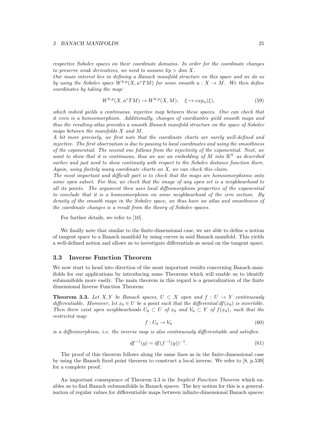#### *3 BANACH MANIFOLDS* 25

*respective Sobolev spaces on their coordinate domains. In order for the coordinate changes to preserve weak derivatives, we need to assume*  $kp > dim X$ *.* 

*Our main interest lies in defining a Banach manifold structure on this space and we do so by using the Sobolev space*  $W^{k,p}(X, u^*TM)$  *for some smooth*  $u : X \to M$ *. We then define coordinates by taking the map:*

$$
W^{k,p}(X, u^*TM) \to W^{k,p}(X, M), \quad \xi \mapsto exp_u(\xi), \tag{59}
$$

*which indeed yields a continuous, injective map between these spaces. One can check that it even is a homeomorphism. Additionally, changes of coordiantes yield smooth maps and thus the resulting atlas provides a smooth Banach manifold structure on the space of Sobolev maps between the manifolds X and M.*

*A bit more precisely, we first note that the coordinate charts are surely well-defined and injective. The first observation is due to passing to local coordinates and using the smoothness of the exponential. The second one follows from the injectivity of the exponential. Next, we want to show that it is continuous, thus we use an embedding of M into* R*<sup>N</sup> as described earlier and just need to show continuity with respect to the Sobolev distance function there. Again, using finitely many coordinate charts on X, we can check this claim.*

*The most important and dicult part is to check that the maps are homeomorphisms onto some open subset. For this, we check that the image of any open set is a neighbourhood to all its points. The argument then uses local diffeomorphism properties of the exponential to conclude that it is a homeomorphism on some neighbourhood of the zero section. By density of the smooth maps in the Sobolev space, we thus have an atlas and smoothness of the coordinate changes is a result from the theory of Sobolev spaces.*

For further details, we refer to [10].

We finally note that similar to the finite-dimensional case, we are able to define a notion of tangent space to a Banach manifold by using curves in said Banach manifold. This yields a well-defined notion and allows us to investigate differentials as usual on the tangent space.

#### 3.3 Inverse Function Theorem

We now start to head into direction of the most important results concerning Banach manifolds for our applications by introducing some Theorems which will enable us to identify submanifolds more easily. The main theorem in this regard is a generalization of the finite dimensional Inverse Function Theorem:

**Theorem 3.3.** Let X, Y be Banach spaces,  $U \subset X$  open and  $f : U \to Y$  continuously *differentiable. Moreover, let*  $x_0 \in U$  *be a point such that the differential*  $df(x_0)$  *is invertible. Then there exist open neighbourhoods*  $U_0 \subset U$  *of*  $x_0$  *and*  $V_0 \subset Y$  *of*  $f(x_0)$ *, such that the restricted map:*

$$
f: U_0 \to V_0 \tag{60}
$$

*is a diffeomorphism, i.e. the inverse map is also continuously differentiable and satisfies:* 

$$
df^{-1}(y) = df(f^{-1}(y))^{-1}.
$$
\n(61)

The proof of this theorem follows along the same lines as in the finite-dimensional case by using the Banach fixed point theorem to construct a local inverse. We refer to [8, p.539] for a complete proof.

An important consequence of Theorem 3.3 is the *Implicit Function Theorem* which enables us to find Banach submanifolds in Banach spaces. The key notion for this is a generalisation of regular values for differentiable maps between infinite-dimensional Banach spaces: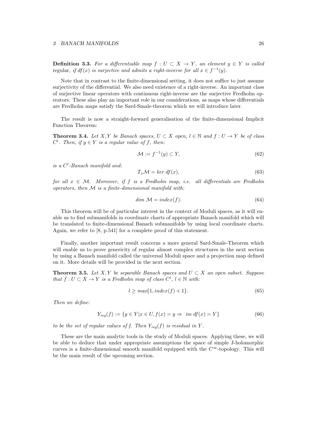#### *3 BANACH MANIFOLDS* 26

**Definition 3.3.** For a differentiable map  $f: U \subset X \to Y$ , an element  $y \in Y$  is called regular, if  $df(x)$  is surjective and admits a right-inverse for all  $x \in f^{-1}(y)$ .

Note that in contrast to the finite-dimensional setting, it does not suffice to just assume surjectivity of the differential. We also need existence of a right-inverse. An important class of surjective linear operators with continuous right-inverse are the surjective Fredholm operators. These also play an important role in our considerations, as maps whose differentials are Fredholm maps satisfy the Sard-Smale-theorem which we will introduce later.

The result is now a straight-forward generalisation of the finite-dimensional Implicit Function Theorem:

**Theorem 3.4.** Let X, Y be Banach spaces,  $U \subset X$  open,  $l \in \mathbb{N}$  and  $f: U \to Y$  be of class  $C^l$ *. Then, if*  $y \in Y$  *is a regular value of*  $f$ *, then:* 

$$
\mathcal{M} := f^{-1}(y) \subset Y,\tag{62}
$$

*is a C<sup>l</sup> -Banach manifold and:*

$$
T_x \mathcal{M} = \ker df(x),\tag{63}
$$

*for all*  $x \in M$ *. Moreover, if*  $f$  *is a Fredholm map, i.e. all differentials are Fredholm operators, then M is a finite-dimensional manifold with:*

$$
dim M = index(f). \tag{64}
$$

This theorem will be of particular interest in the context of Moduli spaces, as it will enable us to find submanifolds in coordinate charts of appropriate Banach manifold which will be translated to finite-dimensional Banach submanifolds by using local coordinate charts. Again, we refer to [8, p.541] for a complete proof of this statement.

Finally, another important result concerns a more general Sard-Smale-Theorem which will enable us to prove genericity of regular almost complex structures in the next section by using a Banach manifold called the universal Moduli space and a projection map defined on it. More details will be provided in the next section.

**Theorem 3.5.** Let  $X, Y$  be separable Banach spaces and  $U \subset X$  an open subset. Suppose *that*  $f: U \subset X \to Y$  *is a Fredholm map of class*  $C^l, l \in \mathbb{N}$  *with:* 

$$
l \geq max\{1, index(f) + 1\}.
$$
\n<sup>(65)</sup>

*Then we define:*

$$
Y_{reg}(f) := \{ y \in Y | x \in U, f(x) = y \Rightarrow im df(x) = Y \}
$$
\n
$$
(66)
$$

*to be the set of regular values of f. Then*  $Y_{req}(f)$  *is residual in*  $Y$ *.* 

These are the main analytic tools in the study of Moduli spaces. Applying these, we will be able to deduce that under appropriate assumptions the space of simple J-holomorphic curves is a finite-dimensional smooth manifold equipped with the  $C^{\infty}$ -topology. This will be the main result of the upcoming section.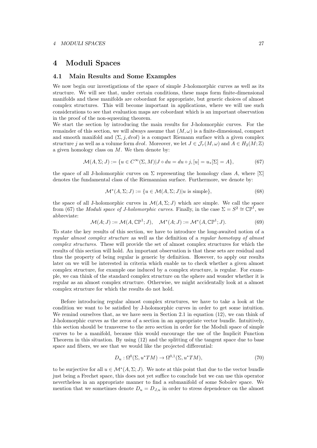### 4 Moduli Spaces

#### 4.1 Main Results and Some Examples

We now begin our investigations of the space of simple J-holomorphic curves as well as its structure. We will see that, under certain conditions, these maps form finite-dimensional manifolds and these manifolds are cobordant for appropriate, but generic choices of almost complex structures. This will become important in applications, where we will use such considerations to see that evaluation maps are cobordant which is an important observation in the proof of the non-squeezing theorem.

We start the section by introducing the main results for J-holomorphic curves. For the remainder of this section, we will always assume that  $(M, \omega)$  is a finite-dimesional, compact and smooth manifold and  $(\Sigma, j, dvol)$  is a compact Riemann surface with a given complex structure *j* as well as a volume form *dvol*. Moreover, we let  $J \in \mathcal{J}_{\tau}(M,\omega)$  and  $A \in H_2(M;\mathbb{Z})$ a given homology class on *M*. We then denote by:

$$
\mathcal{M}(A,\Sigma;J) := \{ u \in C^{\infty}(\Sigma,M) | J \circ du = du \circ j, [u] = u_*[\Sigma] = A \},
$$
\n(67)

the space of all J-holomorphic curves on  $\Sigma$  representing the homology class A, where  $[\Sigma]$ denotes the fundamental class of the Riemannian surface. Furthermore, we denote by:

$$
\mathcal{M}^*(A, \Sigma; J) := \{ u \in \mathcal{M}(A, \Sigma; J) | u \text{ is simple} \},\tag{68}
$$

the space of all J-holomorphic curves in  $\mathcal{M}(A, \Sigma; J)$  which are simple. We call the space from (67) the *Moduli space of J-holomorphic curves*. Finally, in the case  $\Sigma = S^2 \cong \mathbb{CP}^1$ , we abbreviate:

$$
\mathcal{M}(A;J) := \mathcal{M}(A,\mathbb{CP}^1;J), \quad \mathcal{M}^*(A;J) := \mathcal{M}^*(A,\mathbb{CP}^1;J). \tag{69}
$$

To state the key results of this section, we have to introduce the long-awaited notion of a *regular almost complex structure* as well as the definition of a *regular homotopy of almost complex structures*. These will provide the set of almost complex structures for which the results of this section will hold. An important observation is that these sets are residual and thus the property of being regular is generic by definition. However, to apply our results later on we will be interested in criteria which enable us to check whether a given almost complex structure, for example one induced by a complex structure, is regular. For example, we can think of the standard complex structure on the sphere and wonder whether it is regular as an almost complex structure. Otherwise, we might accidentally look at a almost complex structure for which the results do not hold.

Before introducing regular almost complex structures, we have to take a look at the condition we want to be satisfied by J-holomorphic curves in order to get some intuition. We remind ourselves that, as we have seen in Section 2.1 in equation (12), we can think of J-holomorphic curves as the zeros of a section in an appropriate vector bundle. Intuitively, this section should be transverse to the zero section in order for the Moduli space of simple curves to be a manifold, because this would encourage the use of the Implicit Function Theorem in this situation. By using (12) and the splitting of the tangent space due to base space and fibers, we see that we would like the projected differential:

$$
D_u: \Omega^0(\Sigma, u^*TM) \to \Omega^{0,1}(\Sigma, u^*TM),\tag{70}
$$

to be surjective for all  $u \in \mathcal{M}^*(A, \Sigma; J)$ . We note at this point that due to the vector bundle just being a Frechet space, this does not yet suffice to conclude but we can use this operator nevertheless in an appropriate manner to find a submanifold of some Sobolev space. We mention that we sometimes denote  $D_u = D_{J,u}$  in order to stress dependence on the almost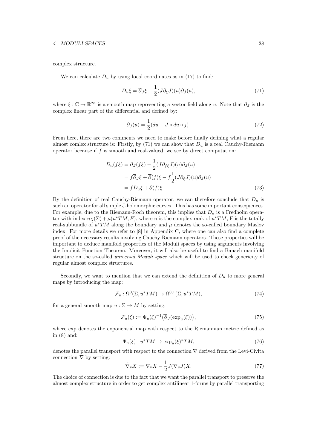#### *4 MODULI SPACES* 28

complex structure.

We can calculate  $D<sub>u</sub>$  by using local coordinates as in (17) to find:

$$
D_u \xi = \overline{\partial}_J \xi - \frac{1}{2} (J \partial_\xi J)(u) \partial_J(u), \tag{71}
$$

where  $\xi : \mathbb{C} \to \mathbb{R}^{2n}$  is a smooth map representing a vector field along *u*. Note that  $\partial_J$  is the complex linear part of the differential and defined by:

$$
\partial_J(u) = \frac{1}{2}(du - J \circ du \circ j). \tag{72}
$$

From here, there are two comments we need to make before finally defining what a regular almost comlex structure is: Firstly, by  $(71)$  we can show that  $D<sub>u</sub>$  is a real Cauchy-Riemann operator because if *f* is smooth and real-valued, we see by direct computation:

$$
D_u(f\xi) = \overline{\partial}_J(f\xi) - \frac{1}{2}(J\partial_{f\xi}J)(u)\partial_J(u)
$$
  
=  $f\overline{\partial}_J\xi + \overline{\partial}(f)\xi - f\frac{1}{2}(J\partial_{\xi}J)(u)\partial_J(u)$   
=  $fD_u\xi + \overline{\partial}(f)\xi.$  (73)

By the definition of real Cauchy-Riemann operator, we can therefore conclude that *D<sup>u</sup>* is such an operator for all simple J-holomorphic curves. This has some important consequences. For example, due to the Riemann-Roch theorem, this implies that *D<sup>u</sup>* is a Fredholm operator with index  $n\chi(\Sigma) + \mu(u^*TM, F)$ , where *n* is the complex rank of  $u^*TM$ , F is the totally real-subbundle of  $u^*TM$  along the boundary and  $\mu$  denotes the so-called boundary Maslov index. For more details we refer to [8] in Appendix C, where one can also find a complete proof of the necessary results involving Cauchy-Riemann operators. These properties will be important to deduce manifold properties of the Moduli spaces by using arguments involving the Implicit Function Theorem. Moreover, it will also be useful to find a Banach manifold structure on the so-called *universal Moduli space* which will be used to check genericity of regular almost complex structures.

Secondly, we want to mention that we can extend the definition of  $D<sub>u</sub>$  to more general maps by introducing the map:

$$
\mathcal{F}_u: \Omega^0(\Sigma, u^*TM) \to \Omega^{0,1}(\Sigma, u^*TM),\tag{74}
$$

for a general smooth map  $u : \Sigma \to M$  by setting:

$$
\mathcal{F}_u(\xi) := \Phi_u(\xi)^{-1} \left( \overline{\partial}_J(\exp_u(\xi)) \right),\tag{75}
$$

where exp denotes the exponential map with respect to the Riemannian metric defined as in (8) and:

$$
\Phi_u(\xi) : u^*TM \to \exp_u(\xi)^*TM,\tag{76}
$$

denotes the parallel transport with respect to the connection  $\tilde{\nabla}$  derived from the Levi-Civita connection  $\nabla$  by setting:

$$
\tilde{\nabla}_v X := \nabla_v X - \frac{1}{2} J(\nabla_v J) X.
$$
\n(77)

The choice of connection is due to the fact that we want the parallel transport to preserve the almost complex structure in order to get complex antilinear 1-forms by parallel transporting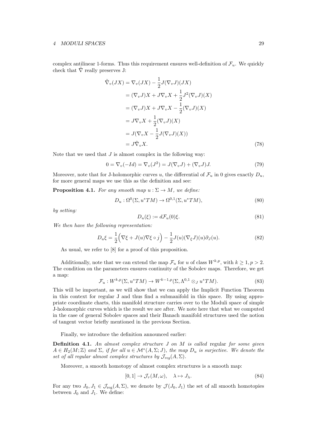#### *4 MODULI SPACES* 29

complex antilinear 1-forms. Thus this requirement ensures well-definition of  $\mathcal{F}_u$ . We quickly check that  $\tilde{\nabla}$  really preserves J:

$$
\tilde{\nabla}_v(JX) = \nabla_v(JX) - \frac{1}{2}J(\nabla_v J)(JX)
$$
\n
$$
= (\nabla_v J)X + J\nabla_v X + \frac{1}{2}J^2(\nabla_v J)(X)
$$
\n
$$
= (\nabla_v J)X + J\nabla_v X - \frac{1}{2}(\nabla_v J)(X)
$$
\n
$$
= J\nabla_v X + \frac{1}{2}(\nabla_v J)(X)
$$
\n
$$
= J(\nabla_v X - \frac{1}{2}J(\nabla_v J)(X))
$$
\n
$$
= J\tilde{\nabla}_v X. \tag{78}
$$

Note that we used that *J* is almost complex in the following way:

$$
0 = \nabla_v(-Id) = \nabla_v(J^2) = J(\nabla_v J) + (\nabla_v J)J.
$$
 (79)

Moreover, note that for J-holomorphic curves *u*, the differential of  $\mathcal{F}_u$  in 0 gives exactly  $D_u$ , for more general maps we use this as the definition and see:

**Proposition 4.1.** For any smooth map  $u : \Sigma \to M$ , we define:

$$
D_u: \Omega^0(\Sigma, u^*TM) \to \Omega^{0,1}(\Sigma, u^*TM), \tag{80}
$$

*by setting:*

$$
D_u(\xi) := d\mathcal{F}_u(0)\xi.
$$
\n(81)

*We then have the following representation:*

$$
D_u \xi = \frac{1}{2} \Big( \nabla \xi + J(u) \nabla \xi \circ j \Big) - \frac{1}{2} J(u) (\nabla_{\xi} J)(u) \partial_J(u). \tag{82}
$$

As usual, we refer to [8] for a proof of this proposition.

Additionally, note that we can extend the map  $\mathcal{F}_u$  for *u* of class  $W^{k,p}$ , with  $k \geq 1, p > 2$ . The condition on the parameters ensures continuity of the Sobolev maps. Therefore, we get a map:

$$
\mathcal{F}_u: W^{k,p}(\Sigma, u^*TM) \to W^{k-1,p}(\Sigma, \Lambda^{0,1} \otimes_J u^*TM). \tag{83}
$$

This will be important, as we will show that we can apply the Implicit Function Theorem in this context for regular J and thus find a submanifold in this space. By using appropriate coordinate charts, this manifold structure carries over to the Moduli space of simple J-holomorphic curves which is the result we are after. We note here that what we computed in the case of general Sobolev spaces and their Banach manifold structures used the notion of tangent vector briefly mentioned in the previous Section.

Finally, we introduce the definition announced earlier:

Definition 4.1. *An almost complex structure J on M is called* regular *for some given*  $A \in H_2(M; \mathbb{Z})$  and  $\Sigma$ , if for all  $u \in \mathcal{M}^*(A, \Sigma; J)$ , the map  $D_u$  is surjective. We denote the *set of all regular almost complex structures by*  $\mathcal{J}_{reg}(A, \Sigma)$ *.* 

Moreover, a smooth homotopy of almost complex structures is a smooth map:

$$
[0,1] \to \mathcal{J}_{\tau}(M,\omega), \quad \lambda \mapsto J_{\lambda}.\tag{84}
$$

For any two  $J_0, J_1 \in \mathcal{J}_{reg}(A, \Sigma)$ , we denote by  $\mathcal{J}(J_0, J_1)$  the set of all smooth homotopies between  $J_0$  and  $J_1$ . We define: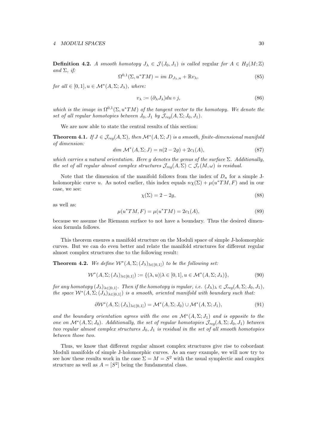**Definition 4.2.** A smooth homotopy  $J_{\lambda} \in \mathcal{J}(J_0, J_1)$  is called regular for  $A \in H_2(M; \mathbb{Z})$ *and*  $\Sigma$ *, if:* 

$$
\Omega^{0,1}(\Sigma, u^*TM) = im D_{J_\lambda, u} + \mathbb{R}v_\lambda,\tag{85}
$$

*for all*  $\in$  [0*,* 1*], u*  $\in$  *M*<sup>\*</sup>(*A,*  $\Sigma$ ; *J<sub>* $\lambda$ *</sub>), where:* 

$$
v_{\lambda} := (\partial_{\lambda} J_{\lambda}) du \circ j,
$$
\n(86)

*which is the image in*  $\Omega^{0,1}(\Sigma, u^*TM)$  *of the tangent vector to the homotopy. We denote the set of all regular homotopies between*  $J_0, J_1$  *by*  $\mathcal{J}_{reg}(A, \Sigma; J_0, J_1)$ *.* 

We are now able to state the central results of this section:

**Theorem 4.1.** *If*  $J \in \mathcal{J}_{req}(A, \Sigma)$ , then  $\mathcal{M}^{*}(A, \Sigma; J)$  is a smooth, finite-dimensional manifold *of dimension:*

$$
\dim \mathcal{M}^*(A, \Sigma; J) = n(2 - 2g) + 2c_1(A), \tag{87}
$$

*which carries a natural orientation. Here*  $g$  *denotes the genus of the surface*  $\Sigma$ *. Additionally, the set of all regular almost complex structures*  $\mathcal{J}_{req}(A, \Sigma) \subset \mathcal{J}_{\tau}(M, \omega)$  *is residual.* 

Note that the dimension of the manifold follows from the index of  $D_u$  for a simple Jholomorphic curve *u*. As noted earlier, this index equals  $n\chi(\Sigma) + \mu(u^*TM, F)$  and in our case, we see:

$$
\chi(\Sigma) = 2 - 2g,\tag{88}
$$

as well as:

$$
\mu(u^*TM, F) = \mu(u^*TM) = 2c_1(A),\tag{89}
$$

because we assume the Riemann surface to not have a boundary. Thus the desired dimension formula follows.

This theorem ensures a manifold structure on the Moduli space of simple J-holomorphic curves. But we can do even better and relate the manifold structures for different regular almost complex structures due to the following result:

**Theorem 4.2.** *We define*  $W^*(A, \Sigma; (J_\lambda)_{\lambda \in [0,1]})$  *to be the following set:* 

$$
\mathcal{W}^*(A, \Sigma; (J_\lambda)_{\lambda \in [0,1]}) := \{ (\lambda, u) | \lambda \in [0,1], u \in \mathcal{M}^*(A, \Sigma; J_\lambda) \},
$$
\n(90)

*for any homotopy*  $(J_\lambda)_{\lambda \in [0,1]}$ *. Then if the homotopy is regular, i.e.*  $(J_\lambda)_\lambda \in \mathcal{J}_{reg}(A,\Sigma;J_0,J_1)$ *, the space*  $W^*(A, \Sigma; (J_\lambda)_{\lambda \in [0,1]})$  *is a smooth, oriented manifold with boundary such that:* 

$$
\partial W^*(A, \Sigma; (J_\lambda)_{\lambda \in [0,1]}) = \mathcal{M}^*(A, \Sigma; J_0) \cup \mathcal{M}^*(A, \Sigma; J_1), \tag{91}
$$

and the boundary orientation agrees with the one on  $\mathcal{M}^*(A,\Sigma;J_1)$  and is opposite to the *one on*  $\mathcal{M}^*(A, \Sigma; J_0)$ *.* Additionally, the set of regular homotopies  $\mathcal{J}_{req}(A, \Sigma; J_0, J_1)$  between *two regular almost complex structures J*0*, J*<sup>1</sup> *is residual in the set of all smooth homotopies between those two.*

Thus, we know that different regular almost complex structures give rise to cobordant Moduli manifolds of simple J-holomorphic curves. As an easy example, we will now try to see how these results work in the case  $\Sigma = M = S^2$  with the usual symplectic and complex structure as well as  $A = [S^2]$  being the fundamental class.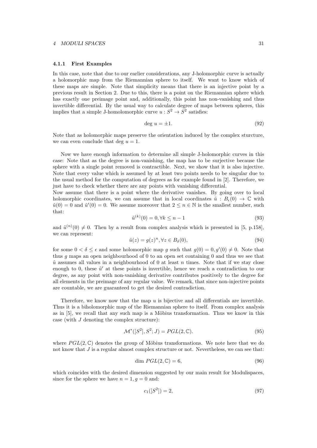#### 4.1.1 First Examples

In this case, note that due to our earlier considerations, any J-holomorphic curve is actually a holomorphic map from the Riemannian sphere to itself. We want to know which of these maps are simple. Note that simplicity means that there is an injective point by a previous result in Section 2. Due to this, there is a point on the Riemannian sphere which has exactly one preimage point and, additionally, this point has non-vanishing and thus invertible differential. By the usual way to calculate degree of maps between spheres, this implies that a simple J-homolomorphic curve  $u : S^2 \to S^2$  satisfies:

$$
\deg u = \pm 1. \tag{92}
$$

Note that as holomorphic maps preserve the orientation induced by the complex sturcture, we can even conclude that deg  $u = 1$ .

Now we have enough information to determine all simple J-holomorphic curves in this case: Note that as the degree is non-vanishing, the map has to be surjective because the sphere with a single point removed is contractible. Next, we show that it is also injective. Note that every value which is assumed by at least two points needs to be singular due to the usual method for the computation of degrees as for example found in [2]. Therefore, we just have to check whether there are any points with vanishing differential.

Now assume that there is a point where the derivative vanishes. By going over to local holomorphic coordinates, we can assume that in local coordinates  $\tilde{u}$  :  $B_{\epsilon}(0) \to \mathbb{C}$  with  $\tilde{u}(0) = 0$  and  $\tilde{u}'(0) = 0$ . We assume moreover that  $2 \le n \in \mathbb{N}$  is the smallest number, such that:

$$
\tilde{u}^{(k)}(0) = 0, \forall k \le n - 1 \tag{93}
$$

and  $\tilde{u}^{(n)}(0) \neq 0$ . Then by a result from complex analysis which is presented in [5, p.158], we can represent:

$$
\tilde{u}(z) = g(z)^n, \forall z \in B_\delta(0),\tag{94}
$$

for some  $0 < \delta \leq \epsilon$  and some holomorphic map g such that  $g(0) = 0, g'(0) \neq 0$ . Note that thus *g* maps an open neighbourhood of 0 to an open set containing 0 and thus we see that  $\tilde{u}$  assumes all values in a neighbourhood of 0 at least *n* times. Note that if we stay close enough to 0, these  $\tilde{u}'$  at these points is invertible, hence we reach a contradiction to our degree, as any point with non-vanishing derivative contributes positively to the degree for all elements in the preimage of any regular value. We remark, that since non-injective points are countable, we are guaranteed to get the desired contradiction.

Therefore, we know now that the map  $u$  is bijective and all differentials are invertible. Thus it is a biholomorphic map of the Riemannian sphere to itself. From complex analysis as in  $[5]$ , we recall that any such map is a Möbius transformation. Thus we know in this case (with *J* denoting the complex structure):

$$
\mathcal{M}^*([S^2], S^2; J) = PGL(2, \mathbb{C}).
$$
\n(95)

where  $PGL(2,\mathbb{C})$  denotes the group of Möbius transformations. We note here that we do not know that *J* is a regular almost complex structure or not. Nevertheless, we can see that:

$$
\dim PGL(2,\mathbb{C}) = 6,\tag{96}
$$

which coincides with the desired dimension suggested by our main result for Modulispaces, since for the sphere we have  $n = 1, g = 0$  and:

$$
c_1([S^2]) = 2,\t\t(97)
$$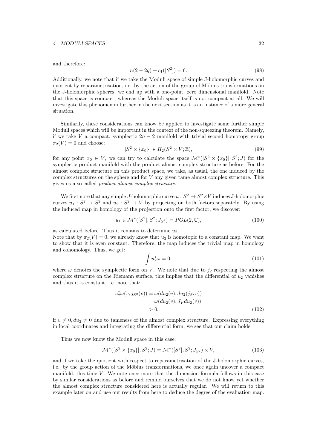#### *4 MODULI SPACES* 32

and therefore:

$$
n(2-2g) + c_1([S^2]) = 6.
$$
\n(98)

Additionally, we note that if we take the Moduli space of simple J-holomorphic curves and quotient by reparametrisation, i.e. by the action of the group of Möbius transformations on the J-holomorphic spheres, we end up with a one-point, zero dimensional manifold. Note that this space is compact, whereas the Moduli space itself is not compact at all. We will investigate this phenomenon further in the next section as it is an instance of a more general situation.

Similarily, these considerations can know be applied to investigate some further simple Moduli spaces which will be important in the context of the non-squeezing theorem. Namely, if we take *V* a compact, symplectic  $2n - 2$  manifold with trivial second homotopy group  $\pi_2(V) = 0$  and choose:

$$
[S^2 \times \{x_0\}] \in H_2(S^2 \times V; \mathbb{Z}),\tag{99}
$$

for any point  $x_0 \in V$ , we can try to calculate the space  $\mathcal{M}^*([S^2 \times \{x_0\}], S^2; J)$  for the symplectic product manifold with the product almost complex structure as before. For the almost complex structure on this product space, we take, as usual, the one induced by the complex structures on the sphere and for *V* any given tame almost complex structure. This gives us a so-called *product almost complex structure*.

We first note that any simple *J*-holomorphic curve  $u : S^2 \to S^2 \times V$  induces *J*-holomorphic curves  $u_1 : S^2 \to S^2$  and  $u_2 : S^2 \to V$  by projecting on both factors separately. By using the induced map in homology of the projection onto the first factor, we discover:

 $u_1 \in \mathcal{M}^*([S^2], S^2; J_{S^2}) = PGL(2, \mathbb{C}),$  (100)

as calculated before. Thus it remains to determine  $u_2$ .

Note that by  $\pi_2(V) = 0$ , we already know that  $u_2$  is homotopic to a constant map. We want to show that it is even constant. Therefore, the map induces the trivial map in homology and cohomology. Thus, we get:

$$
\int u_2^* \omega = 0,\tag{101}
$$

where  $\omega$  denotes the symplectic form on *V*. We note that due to  $j_2$  respecting the almost complex structure on the Riemann surface, this implies that the differential of  $u_2$  vanishes and thus it is constant, i.e. note that:

$$
u_2^*(\omega(v, j_{S^2}(v)) = \omega(du_2(v), du_2(j_{S^2}v))
$$
  
=  $\omega(du_2(v), J_V du_2(v))$   
> 0, (102)

if  $v \neq 0, du_2 \neq 0$  due to tameness of the almost complex structure. Expressing everything in local coordinates and integrating the differential form, we see that our claim holds.

Thus we now know the Moduli space in this case:

$$
\mathcal{M}^*([S^2 \times \{x_0\}], S^2; J) = \mathcal{M}^*([S^2], S^2; J_{S^2}) \times V,
$$
\n(103)

and if we take the quotient with respect to reparametrisation of the J-holomorphic curves, i.e. by the group action of the Möbius transformations, we once again uncover a compact manifold, this time *V* . We note once more that the dimension formula follows in this case by similar considerations as before and remind ourselves that we do not know yet whether the almost complex structure considered here is actually regular. We will return to this example later on and use our results from here to deduce the degree of the evaluation map.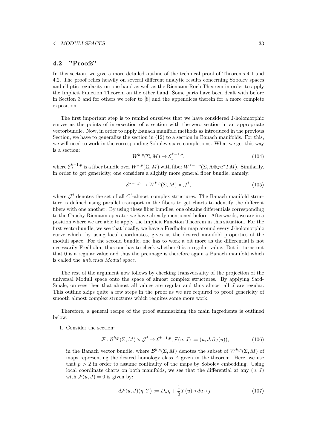#### 4.2 "Proofs"

In this section, we give a more detailed outline of the technical proof of Theorems 4.1 and 4.2. The proof relies heavily on several different analytic results concerning Sobolev spaces and elliptic regularity on one hand as well as the Riemann-Roch Theorem in order to apply the Implicit Function Theorem on the other hand. Some parts have been dealt with before in Section 3 and for others we refer to [8] and the appendices therein for a more complete exposition.

The first important step is to remind ourselves that we have considered J-holomorphic curves as the points of intersection of a section with the zero section in an appropriate vectorbundle. Now, in order to apply Banach manifold methods as introduced in the previous Section, we have to generalize the section in (12) to a section in Banach manifolds. For this, we will need to work in the corresponding Sobolev space completions. What we get this way is a section:

$$
W^{k,p}(\Sigma, M) \to \mathcal{E}_J^{k-1,p},\tag{104}
$$

where  $\mathcal{E}_J^{k-1,p}$  is a fiber bundle over  $W^{k,p}(\Sigma, M)$  with fiber  $W^{k-1,p}(\Sigma, \Lambda \otimes_J u^*TM)$ . Similarily, in order to get genericity, one considers a slightly more general fiber bundle, namely:

$$
\mathcal{E}^{k-1,p} \to W^{k,p}(\Sigma, M) \times \mathcal{J}^l,\tag{105}
$$

where  $\mathcal{J}^l$  denotes the set of all  $C^l$ -almost complex structures. The Banach manifold structure is defined using parallel transport in the fibers to get charts to identify the different fibers with one another. By using these fiber bundles, one obtains differentials corresponding to the Cauchy-Riemann operator we have already mentioned before. Afterwards, we are in a position where we are able to apply the Implicit Function Theorem in this situation. For the first vectorbundle, we see that locally, we have a Fredholm map around every J-holomorphic curve which, by using local coordinates, gives us the desired manifold properties of the moduli space. For the second bundle, one has to work a bit more as the differential is not necessarily Fredholm, thus one has to check whether 0 is a regular value. But it turns out that 0 is a regular value and thus the preimage is therefore again a Banach manifold which is called the *universal Moduli space*.

The rest of the argument now follows by checking transversality of the projection of the universal Moduli space onto the space of almost complex structures. By applying Sard-Smale, on sees then that almost all values are regular and thus almost all *J* are regular. This outline skips quite a few steps in the proof as we are required to proof genericity of smooth almost complex structures which requires some more work.

Therefore, a general recipe of the proof summarizing the main ingredients is outlined below:

1. Consider the section:

$$
\mathcal{F}: \mathcal{B}^{k,p}(\Sigma, M) \times \mathcal{J}^l \to \mathcal{E}^{k-1,p}, \mathcal{F}(u, J) := (u, J, \overline{\partial}_J(u)), \tag{106}
$$

in the Banach vector bundle, where  $\mathcal{B}^{k,p}(\Sigma, M)$  denotes the subset of  $W^{k,p}(\Sigma, M)$  of maps representing the desired homology class *A* given in the theorem. Here, we use that  $p > 2$  in order to assume continuity of the maps by Sobolev embedding. Using local coordinate charts on both manifolds, we see that the differential at any  $(u, J)$ with  $\mathcal{F}(u, J) = 0$  is given by:

$$
d\mathcal{F}(u,J)(\eta,Y) := D_u \eta + \frac{1}{2} Y(u) \circ du \circ j. \tag{107}
$$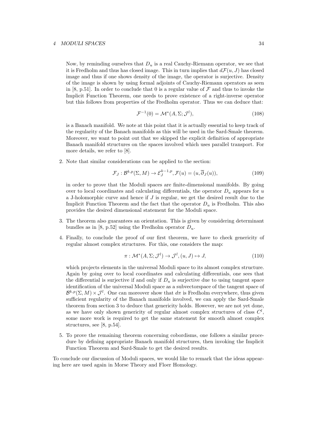#### *4 MODULI SPACES* 34

Now, by reminding ourselves that *D<sup>u</sup>* is a real Cauchy-Riemann operator, we see that it is Fredholm and thus has closed image. This in turn implies that  $d\mathcal{F}(u, J)$  has closed image and thus if one shows density of the image, the operator is surjective. Density of the image is shown by using formal adjoints of Cauchy-Riemann operators as seen in [8, p.51]. In order to conclude that 0 is a regular value of  $\mathcal F$  and thus to invoke the Implicit Function Theorem, one needs to prove existence of a right-inverse operator but this follows from properties of the Fredholm operator. Thus we can deduce that:

$$
\mathcal{F}^{-1}(0) = \mathcal{M}^*(A, \Sigma; \mathcal{J}^l),\tag{108}
$$

is a Banach manifold. We note at this point that it is actually essential to keep track of the regularity of the Banach manifolds as this will be used in the Sard-Smale theorem. Moreover, we want to point out that we skipped the explicit definition of appropriate Banach manifold structures on the spaces involved which uses parallel transport. For more details, we refer to [8].

2. Note that similar considerations can be applied to the section:

$$
\mathcal{F}_J: \mathcal{B}^{k,p}(\Sigma, M) \to \mathcal{E}_J^{k-1,p}, \mathcal{F}(u) = (u, \overline{\partial}_J(u)),
$$
\n(109)

in order to prove that the Moduli spaces are finite-dimensional manifolds. By going over to local coordinates and calculating differentials, the operator  $D<sub>u</sub>$  appears for  $u$ a J-holomorphic curve and hence if *J* is regular, we get the desired result due to the Implicit Function Theorem and the fact that the operator *D<sup>u</sup>* is Fredholm. This also provides the desired dimensional statement for the Moduli space.

- 3. The theorem also guarantees an orientation. This is given by considering determinant bundles as in [8, p.52] using the Fredholm operator  $D_u$ .
- 4. Finally, to conclude the proof of our first theorem, we have to check genericity of regular almost complex structures. For this, one considers the map:

$$
\pi: \mathcal{M}^*(A, \Sigma; \mathcal{J}^l) \to \mathcal{J}^l, (u, J) \mapsto J,
$$
\n(110)

which projects elements in the universal Moduli space to its almost complex structure. Again by going over to local coordinates and calculating differentials, one sees that the differential is surjective if and only if  $D_u$  is surjective due to using tangent space identification of the universal Moduli space as a subvectorspace of the tangent space of  $\mathcal{B}^{k,p}(\Sigma, M) \times \mathcal{J}^l$ . One can moreover show that  $d\pi$  is Fredholm everywhere, thus given sufficient regularity of the Banach manifolds involved, we can apply the Sard-Smale theorem from section 3 to deduce that genericity holds. However, we are not yet done, as we have only shown genericity of regular almost complex structures of class  $C^l$ , some more work is required to get the same statement for smooth almost complex structures, see [8, p.54].

5. To prove the remaining theorem concerning cobordisms, one follows a similar procedure by defining appropriate Banach manifold structures, then invoking the Implicit Function Theorem and Sard-Smale to get the desired results.

To conclude our discussion of Moduli spaces, we would like to remark that the ideas appearing here are used again in Morse Theory and Floer Homology.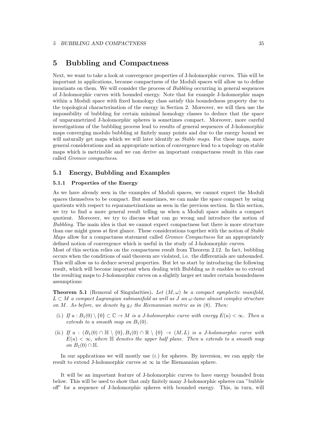### 5 Bubbling and Compactness

Next, we want to take a look at convergence properties of J-holomorphic curves. This will be important in applications, because compactness of the Moduli spaces will allow us to define invariants on them. We will consider the process of *Bubbling* occurring in general sequences of J-holomorphic curves with bounded energy. Note that for example J-holomorphic maps within a Moduli space with fixed homology class satisfy this boundedness property due to the topological characterisation of the energy in Section 2. Moreover, we will then use the impossibility of bubbling for certain minimal homology classes to deduce that the space of unparametrized J-holomorphic spheres is sometimes compact. Moreover, more careful investigations of the bubbling process lead to results of general sequences of J-holomorphic maps converging modulo bubbling at finitely many points and due to the energy bound we will naturally get maps which we will later identify as *Stable maps*. For these maps, more general considerations and an appropriate notion of convergence lead to a topology on stable maps which is metrizable and we can derive an important compactness result in this case called *Gromov compactness*.

#### 5.1 Energy, Bubbling and Examples

#### 5.1.1 Properties of the Energy

As we have already seen in the examples of Moduli spaces, we cannot expect the Moduli spaces themselves to be compact. But sometimes, we can make the space compact by using quotients with respect to reparametrisations as seen in the previous section. In this section, we try to find a more general result telling us when a Moduli space admits a compact quotient. Moreover, we try to discuss what can go wrong and introduce the notion of *Bubbling*. The main idea is that we cannot expect compactness but there is more structure than one might guess at first glance. These considerations together with the notion of *Stable Maps* allow for a compactness statement called *Gromov Compactness* for an appropriately defined notion of convergence which is useful in the study of J-holomorphic curves.

Most of this section relies on the compactness result from Theorem 2.12. In fact, bubbling occurs when the conditions of said theorem are violated, i.e. the differentials are unbounded. This will allow us to deduce several properties. But let us start by introducing the following result, which will become important when dealing with Bubbling as it enables us to extend the resulting maps to J-holomorphic curves on a slightly larger set under certain boundedness assumptions:

**Theorem 5.1** (Removal of Singularities). Let  $(M, \omega)$  be a compact symplectic manifold,  $L \subset M$  *a compact Lagrangian submanifold as well as J an*  $\omega$ -tame almost complex structure *on M. As before, we denote by g<sup>J</sup> the Riemannian metric as in* (8)*. Then:*

- (i.) If  $u : B_1(0) \setminus \{0\} \subset \mathbb{C} \to M$  is a J-holomorphic curve with energy  $E(u) < \infty$ . Then *u extends to a smooth map on*  $B_1(0)$ *.*
- (ii.) *If*  $u : (B_1(0) \cap \mathbb{H} \setminus \{0\}, B_1(0) \cap \mathbb{R} \setminus \{0\} \rightarrow (M, L)$  *is a J-holomorphic curve with*  $E(u) < \infty$ , where  $\mathbb H$  *denotes the upper half plane. Then u extends to a smooth map on*  $B_1(0) \cap \mathbb{H}$ *.*

In our applications we will mostly use (*i.*) for spheres. By inversion, we can apply the result to extend J-holomorphic curves at  $\infty$  in the Riemannian sphere.

It will be an important feature of J-holomorphic curves to have energy bounded from below. This will be used to show that only finitely many J-holomorphic spheres can "bubble off" for a sequence of J-holomorphic spheres with bounded energy. This, in turn, will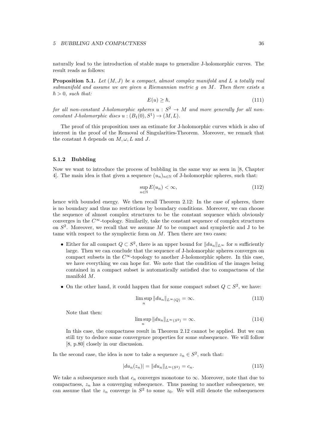naturally lead to the introduction of stable maps to generalize J-holomorphic curves. The result reads as follows:

Proposition 5.1. *Let* (*M, J*) *be a compact, almost complex manifold and L a totally real submanifold and assume we are given a Riemannian metric g on M. Then there exists a*  $\hbar > 0$ , such that:

$$
E(u) \ge \hbar,\tag{111}
$$

*for all non-constant J-holomorphic spheres*  $u : S^2 \to M$  *and more generally for all nonconstant J-holomorphic discs*  $u : (B_1(0), S^1) \rightarrow (M, L)$ .

The proof of this proposition uses an estimate for J-holomorphic curves which is also of interest in the proof of the Removal of Singularities-Theorem. Moreover, we remark that the constant  $\hbar$  depends on  $M, \omega, L$  and  $J$ .

#### 5.1.2 Bubbling

Now we want to introduce the process of bubbling in the same way as seen in [8, Chapter 4. The main idea is that given a sequence  $(u_n)_{n\in\mathbb{N}}$  of J-holomorphic spheres, such that:

$$
\sup_{n \in \mathbb{N}} E(u_n) < \infty,\tag{112}
$$

hence with bounded energy. We then recall Theorem 2.12: In the case of spheres, there is no boundary and thus no restrictions by boundary conditions. Moreover, we can choose the sequence of almost complex structures to be the constant sequence which obviously converges in the  $C^{\infty}$ -topology. Similarly, take the constant sequence of complex structures on *S*<sup>2</sup>. Moreover, we recall that we assume *M* to be compact and symplectic and J to be tame with respect to the symplectic form on *M*. Then there are two cases:

- Either for all compact  $Q \subset S^2$ , there is an upper bound for  $||du_n||_{L^{\infty}}$  for *n* sufficiently large. Then we can conclude that the sequence of J-holomorphic spheres converges on compact subsets in the  $C^{\infty}$ -topology to another J-holomorphic sphere. In this case, we have everything we can hope for. We note that the condition of the images being contained in a compact subset is automatically satisfied due to compactness of the manifold *M*.
- On the other hand, it could happen that for some compact subset  $Q \subset S^2$ , we have:

$$
\limsup_{n} \|du_n\|_{L^{\infty}(Q)} = \infty.
$$
\n(113)

Note that then:

$$
\limsup_{n} \|du_n\|_{L^{\infty}(S^2)} = \infty.
$$
\n(114)

In this case, the compactness result in Theorem 2.12 cannot be applied. But we can still try to deduce some convergence properties for some subsequence. We will follow [8, p.80] closely in our discussion.

In the second case, the idea is now to take a sequence  $z_n \in S^2$ , such that:

$$
|du_n(z_n)| = ||du_n||_{L^{\infty}(S^2)} = c_n.
$$
\n(115)

We take a subsequence such that  $c_n$  converges monotone to  $\infty$ . Moreover, note that due to compactness,  $z_n$  has a converging subsequence. Thus passing to another subsequence, we can assume that the  $z_n$  converge in  $S^2$  to some  $z_0$ . We will still denote the subsequences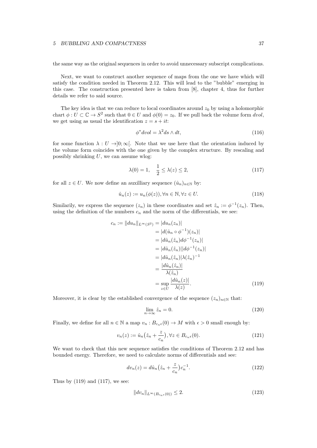the same way as the original sequences in order to avoid unnecessary subscript complications.

Next, we want to construct another sequence of maps from the one we have which will satisfy the condition needed in Theorem 2.12. This will lead to the "bubble" emerging in this case. The construction presented here is taken from [8], chapter 4, thus for further details we refer to said source.

The key idea is that we can reduce to local coordinates around  $z_0$  by using a holomorphic chart  $\phi : U \subset \mathbb{C} \to S^2$  such that  $0 \in U$  and  $\phi(0) = z_0$ . If we pull back the volume form *dvol*, we get using as usual the identification  $z = s + it$ :

$$
\phi^* dvol = \lambda^2 ds \wedge dt,\tag{116}
$$

for some function  $\lambda : U \rightarrow ]0; \infty[$ . Note that we use here that the orientation induced by the volume form coincides with the one given by the complex structure. By rescaling and possibly shrinking *U*, we can assume wlog:

$$
\lambda(0) = 1, \quad \frac{1}{2} \le \lambda(z) \le 2,\tag{117}
$$

for all  $z \in U$ . We now define an auxilliary sequence  $(\hat{u}_n)_{n \in \mathbb{N}}$  by:

$$
\hat{u}_n(z) := u_n(\phi(z)), \forall n \in \mathbb{N}, \forall z \in U.
$$
\n(118)

Similarily, we express the sequence  $(z_n)$  in these coordinates and set  $\hat{z}_n := \phi^{-1}(z_n)$ . Then, using the definition of the numbers  $c_n$  and the norm of the differentials, we see:

$$
c_n := ||du_n||_{L^{\infty}(S^2)} = |du_n(z_n)|
$$
  
=  $|d(\hat{u}_n \circ \phi^{-1})(z_n)|$   
=  $|d\hat{u}_n(\hat{z}_n)d\phi^{-1}(z_n)|$   
=  $|d\hat{u}_n(\hat{z}_n)||d\phi^{-1}(z_n)|$   
=  $|d\hat{u}_n(\hat{z}_n)|\lambda(\hat{z}_n)^{-1}$   
=  $\frac{|d\hat{u}_n(\hat{z}_n)|}{\lambda(\hat{z}_n)}$   
=  $\sup_{z \in U} \frac{|d\hat{u}_n(z)|}{\lambda(z)}$ . (119)

Moreover, it is clear by the established convergence of the sequence  $(z_n)_{n\in\mathbb{N}}$  that:

$$
\lim_{n \to \infty} \hat{z}_n = 0. \tag{120}
$$

Finally, we define for all  $n \in \mathbb{N}$  a map  $v_n : B_{c_n \epsilon}(0) \to M$  with  $\epsilon > 0$  small enough by:

$$
v_n(z) := \hat{u}_n\left(\hat{z}_n + \frac{z}{c_n}\right), \forall z \in B_{c_n \epsilon}(0). \tag{121}
$$

We want to check that this new sequence satisfies the conditions of Theorem 2.12 and has bounded energy. Therefore, we need to calculate norms of differentials and see:

$$
dv_n(z) = d\hat{u}_n \left(\hat{z}_n + \frac{z}{c_n}\right) c_n^{-1}.
$$
\n(122)

Thus by  $(119)$  and  $(117)$ , we see:

$$
||dv_n||_{L^{\infty}(B_{c_n\epsilon}(0))} \le 2.
$$
\n(123)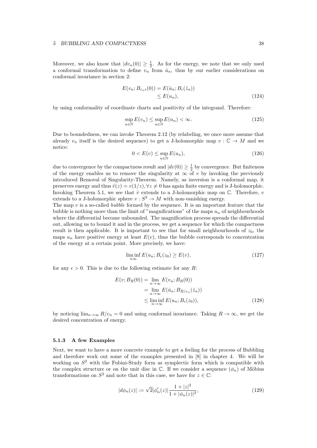Moreover, we also know that  $|dv_n(0)| \geq \frac{1}{2}$ . As for the energy, we note that we only used a conformal transformation to define  $v_n$  from  $\hat{u}_n$ , thus by our earlier considerations on conformal invariance in section 2:

$$
E(v_n; B_{c_n \epsilon}(0)) = E(\hat{u}_n; B_{\epsilon}(\hat{z}_n))
$$
  
\n
$$
\leq E(u_n),
$$
\n(124)

by using conformality of coordinate charts and positivity of the integrand. Therefore:

$$
\sup_{n \in \mathbb{N}} E(v_n) \le \sup_{n \in \mathbb{N}} E(u_n) < \infty. \tag{125}
$$

Due to boundedness, we can invoke Theorem 2.12 (by relabeling, we once more assume that already  $v_n$  itself is the desired sequence) to get a J-holomorphic map  $v : \mathbb{C} \to M$  and we notice:

$$
0 < E(v) \le \sup_{n \in \mathbb{N}} E(u_n),\tag{126}
$$

due to convergence by the compactness result and  $|dv(0)| \geq \frac{1}{2}$  by convergence. But finiteness of the energy enables us to remove the singularity at  $\infty$  of *v* by invoking the previously introduced Removal of Singularity-Theorem. Namely, as inversion is a conformal map, it preserves energy and thus  $\hat{v}(z) = v(1/z)$ ,  $\forall z \neq 0$  has again finite energy and is J-holomorphic. Invoking Theorem 5.1, we see that  $\hat{v}$  extends to a J-holomorphic map on  $\mathbb{C}$ . Therefore, *v* extends to a J-holomorphic sphere  $v : S^2 \to M$  with non-vanishing energy.

The map *v* is a so-called *bubble* formed by the sequence. It is an important feature that the bubble is nothing more than the limit of "magnifications" of the maps  $u_n$  of neighbourhoods where the differential become unbounded. The magnification process spreads the differential out, allowing us to bound it and in the process, we get a sequence for which the compactness result is then applicable. It is important to see that for small neighbourhoods of  $z_0$ , the maps  $u_n$  have positive energy at least  $E(v)$ , thus the bubble corresponds to concentration of the energy at a certain point. More precisely, we have:

$$
\liminf_{n \infty} E(u_n; B_{\epsilon}(z_0) \ge E(v), \tag{127}
$$

for any  $\epsilon > 0$ . This is due to the following estimate for any *R*:

$$
E(v; B_R(0)) = \lim_{n \to \infty} E(v_n; B_R(0))
$$
  
= 
$$
\lim_{n \to \infty} E(\hat{u}_n; B_{R/c_n}(\hat{z}_n))
$$
  

$$
\leq \liminf_{n \to \infty} E(u_n; B_{\epsilon}(z_0)),
$$
 (128)

by noticing  $\lim_{n\to\infty} R/c_n = 0$  and using conformal invariance. Taking  $R \to \infty$ , we get the desired concentration of energy.

#### 5.1.3 A few Examples

Next, we want to have a more concrete example to get a feeling for the process of Bubbling and therefore work out some of the examples presented in [8] in chapter 4. We will be working on *S*<sup>2</sup> with the Fubini-Study form as symplectic form which is compatible with the complex structure or on the unit disc in  $\mathbb{C}$ . If we consider a sequence  $(\phi_n)$  of Möbius transformations on  $S^2$  and note that in this case, we have for  $z \in \mathbb{C}$ :

$$
|d\phi_n(z)| := \sqrt{2} |\phi'_n(z)| \frac{1+|z|^2}{1+|\phi_n(z)|^2},\tag{129}
$$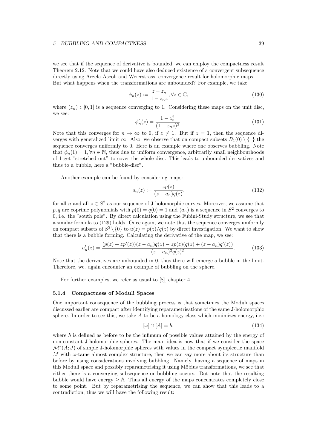we see that if the sequence of derivative is bounded, we can employ the compactness result Theorem 2.12. Note that we could have also deduced existence of a convergent subsequence directly using Arzela-Ascoli and Weierstrass' convergence result for holomorphic maps. But what happens when the transformations are unbounded? For example, we take:

$$
\phi_n(z) := \frac{z - z_n}{1 - z_n z}, \forall z \in \mathbb{C},\tag{130}
$$

where  $(z_n) \subset ]0,1[$  is a sequence converging to 1. Considering these maps on the unit disc, we see:

$$
\phi'_n(z) = \frac{1 - z_n^2}{(1 - z_n z)^2}.
$$
\n(131)

Note that this converges for  $n \to \infty$  to 0, if  $z \neq 1$ . But if  $z = 1$ , then the sequence diverges with generalized limit  $\infty$ . Also, we observe that on compact subsets  $B_1(0) \setminus \{1\}$  the sequence converges uniformly to 0. Here is an example where one observes bubbling. Note that  $\phi_n(1) = 1, \forall n \in \mathbb{N}$ , thus due to uniform convergence, arbitrarily small neighbourhoods of 1 get "stretched out" to cover the whole disc. This leads to unbounded derivatives and thus to a bubble, here a "bubble-disc".

Another example can be found by considering maps:

$$
u_n(z) := \frac{zp(z)}{(z - a_n)q(z)},
$$
\n(132)

for all *n* and all  $z \in S^2$  as our sequence of J-holomorphic curves. Moreover, we assume that *p, q* are coprime polynomials with  $p(0) = q(0) = 1$  and  $(a_n)$  is a sequence in  $S^2$  converges to 0, i.e. the "south pole". By direct calculation using the Fubini-Study structure, we see that a similar formula to (129) holds. Once again, we note that the sequence converges uniformly on compact subsets of  $S^2 \setminus \{0\}$  to  $u(z) = p(z)/q(z)$  by direct investigation. We want to show that there is a bubble forming. Calculating the derivative of the map, we see:

$$
u'_n(z) = \frac{(p(z) + zp'(z))(z - a_n)q(z) - zp(z)(q(z) + (z - a_n)q'(z))}{(z - a_n)^2 q(z)^2}.
$$
 (133)

Note that the derivatives are unbounded in 0, thus there will emerge a bubble in the limit. Therefore, we. again encounter an example of bubbling on the sphere.

For further examples, we refer as usual to [8], chapter 4.

#### 5.1.4 Compactness of Moduli Spaces

One important consequence of the bubbling process is that sometimes the Moduli spaces discussed earlier are compact after identifying reparametrisations of the same J-holomorphic sphere. In order to see this, we take  $A$  to be a homology class which minimizes energy, i.e.:

$$
[\omega] \cap [A] = \hbar,\tag{134}
$$

where  $\hbar$  is defined as before to be the infimum of possible values attained by the energy of non-constant J-holomorphic spheres. The main idea is now that if we consider the space  $\mathcal{M}^*(A;J)$  of simple J-holomorphic spheres with values in the compact symplectic manifold *M* with  $\omega$ -tame almost complex structure, then we can say more about its structure than before by using considerations involving bubbling. Namely, having a sequence of maps in this Moduli space and possibly reparametrising it using Möbius transformations, we see that either there is a converging subsequence or bubbling occurs. But note that the resulting bubble would have energy  $\geq \hbar$ . Thus all energy of the maps concentrates completely close to some point. But by reparametrising the sequence, we can show that this leads to a contradiction, thus we will have the following result: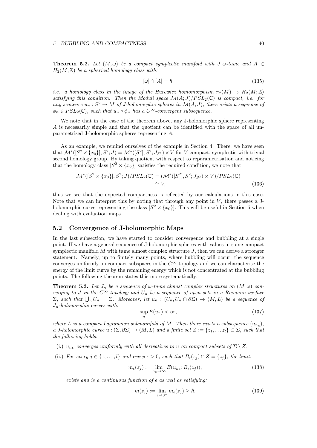**Theorem 5.2.** Let  $(M, \omega)$  be a compact symplectic manifold with J  $\omega$ -tame and A  $\in$  $H_2(M;\mathbb{Z})$  *be a spherical homology class with:* 

$$
[\omega] \cap [A] = \hbar,\tag{135}
$$

*i.e. a homology class in the image of the Hurewicz homomorphism*  $\pi_2(M) \rightarrow H_2(M;\mathbb{Z})$ *satisfying this condition. Then the Moduli space*  $\mathcal{M}(A; J)/PSL_2(\mathbb{C})$  *is compact, i.e. for* any sequence  $u_n : S^2 \to M$  of *J-holomorphic spheres in*  $\mathcal{M}(A; J)$ *, there exists a sequence of*  $\phi_n \in PSL_2(\mathbb{C})$ *, such that*  $u_n \circ \phi_n$  *has a*  $C^{\infty}$ -convergent subsequence.

We note that in the case of the theorem above, any J-holomorphic sphere representing *A* is necessarily simple and that the quotient can be identified with the space of all unparametrised J-holomorphic spheres representing *A*.

As an example, we remind ourselves of the example in Section 4. There, we have seen that  $\mathcal{M}^*([S^2 \times \{x_0\}], S^2; J) = \mathcal{M}^*([S^2], S^2; J_{S^2}) \times V$  for *V* compact, symplectic with trivial second homology group. By taking quotient with respect to reparametrisation and noticing that the homology class  $[S^2 \times \{x_0\}]$  satisfies the required condition, we note that:

$$
\mathcal{M}^*([S^2 \times \{x_0\}], S^2; J) / PSL_2(\mathbb{C}) = (\mathcal{M}^*([S^2], S^2; J_{S^2}) \times V) / PSL_2(\mathbb{C})
$$
  
\n
$$
\cong V,
$$
\n(136)

thus we see that the expected compactness is reflected by our calculations in this case. Note that we can interpret this by noting that through any point in  $V$ , there passes a Jholomorphic curve representing the class  $[S^2 \times \{x_0\}]$ . This will be useful in Section 6 when dealing with evaluation maps.

#### 5.2 Convergence of J-holomorphic Maps

In the last subsection, we have started to consider convergence and bubbling at a single point. If we have a general sequence of J-holomorphic spheres with values in some compact symplectic manifold *M* with tame almost complex structure *J*, then we can derive a stronger statement. Namely, up to finitely many points, where bubbling will occur, the sequence converges uniformly on compact subspaces in the  $C^{\infty}$ -topology and we can characterise the energy of the limit curve by the remaining energy which is not concentrated at the bubbling points. The following theorem states this more systematically:

**Theorem 5.3.** Let  $J_n$  be a sequence of  $\omega$ -tame almost complex structures on  $(M, \omega)$  con*verging to J* in the  $C^{\infty}$ -topology and  $U_n$  be a sequence of open sets in a Riemann surface  $\Sigma$ *, such that*  $\bigcup_n U_n = \Sigma$ *. Moreover, let*  $u_n : (U_n, U_n \cap \partial \Sigma) \to (M, L)$  *be a sequence of Jn-holomorphic curves with:*

$$
\sup_{n} E(u_n) < \infty,\tag{137}
$$

where *L* is a compact Lagrangian submanifold of *M*. Then there exists a subsequence  $(u_{n_k})$ , *a J-holomorphic curve*  $u : (\Sigma, \partial \Sigma) \to (M, L)$  and a finite set  $Z := \{z_1, \ldots z_l\} \subset \Sigma$ , such that *the following holds:*

- (i.)  $u_{n_k}$  *converges uniformly with all derivatives to u on compact subsets of*  $\Sigma \setminus Z$ *.*
- (ii.) *For every*  $j \in \{1, \ldots, l\}$  *and every*  $\epsilon > 0$ *, such that*  $B_{\epsilon}(z_j) \cap Z = \{z_j\}$ *, the limit:*

$$
m_{\epsilon}(z_j) := \lim_{n_k \to \infty} E(u_{n_k}; B_{\epsilon}(z_j)),
$$
\n(138)

*exists and is a continuous function of*  $\epsilon$  *as well as satisfying:* 

$$
m(z_j) := \lim_{\epsilon \to 0^+} m_{\epsilon}(z_j) \ge \hbar. \tag{139}
$$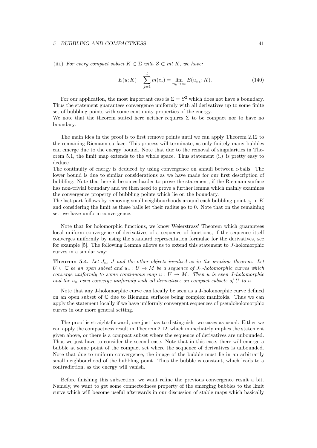(iii.) *For every compact subset*  $K \subset \Sigma$  *with*  $Z \subset \text{int } K$ *, we have:* 

$$
E(u;K) + \sum_{j=1}^{l} m(z_j) = \lim_{n_k \to \infty} E(u_{n_k};K).
$$
 (140)

For our application, the most important case is  $\Sigma = S^2$  which does not have a boundary. Thus the statement guarantees convergence uniformly with all derivatives up to some finite set of bubbling points with some continuity properties of the energy.

We note that the theorem stated here neither requires  $\Sigma$  to be compact nor to have no boundary.

The main idea in the proof is to first remove points until we can apply Theorem 2.12 to the remaining Riemann surface. This process will terminate, as only finitely many bubbles can emerge due to the energy bound. Note that due to the removal of singularities in Theorem 5.1, the limit map extends to the whole space. Thus statement (i.) is pretty easy to deduce.

The continuity of energy is deduced by using convergence on annuli between  $\epsilon$ -balls. The lower bound is due to similar considerations as we have made for our first description of bubbling. Note that here it becomes harder to prove the statement, if the Riemann surface has non-trivial boundary and we then need to prove a further lemma which mainly examines the convergence property of bubbling points which lie on the boundary.

The last part follows by removing small neighbourhoods around each bubbling point  $z_j$  in  $K$ and considering the limit as these balls let their radius go to 0. Note that on the remaining set, we have uniform convergence.

Note that for holomorphic functions, we know Weierstrass' Theorem which guarantees local uniform convergence of derivatives of a sequence of functions, if the sequence itself converges uniformly by using the standard representation formulae for the derivatives, see for example [5]. The following Lemma allows us to extend this statement to *J*-holomorphic curves in a similar way:

**Theorem 5.4.** Let  $J_n$ ,  $J$  and the other objects involved as in the previous theorem. Let  $U \subset \mathbb{C}$  *be an open subset and*  $u_n : U \to M$  *be a sequence of*  $J_n$ *-holomorphic curves which converge uniformly to some continuous map*  $u: U \rightarrow M$ *. Then u is even J*-holomorphic and the  $u_n$  even converge uniformly with all derivatives on compact subsets of U to  $u$ .

Note that any J-holomorphic curve can locally be seen as a J-holomorphic curve defined on an open subset of C due to Riemann surfaces being complex manifolds. Thus we can apply the statement locally if we have uniformly convergent sequences of pseudoholomorphic curves in our more general setting.

The proof is straight-forward, one just has to distinguish two cases as usual: Either we can apply the compactness result in Theorem 2.12, which immediately implies the statement given above, or there is a compact subset where the sequence of derivatives are unbounded. Thus we just have to consider the second case. Note that in this case, there will emerge a bubble at some point of the compact set where the sequence of derivatives is unbounded. Note that due to uniform convergence, the image of the bubble must lie in an arbitrarily small neighbourhood of the bubbling point. Thus the bubble is constant, which leads to a contradiction, as the energy will vanish.

Before finishing this subsection, we want refine the previous convergence result a bit. Namely, we want to get some connectedness property of the emerging bubbles to the limit curve which will become useful afterwards in our discussion of stable maps which basically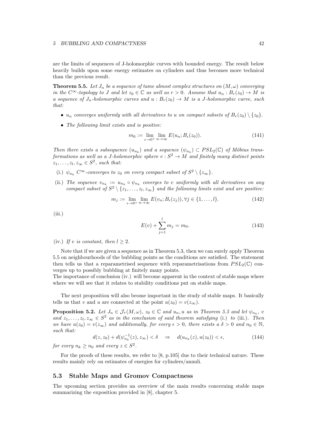are the limits of sequences of J-holomorphic curves with bounded energy. The result below heavily builds upon some energy estimates on cylinders and thus becomes more technical than the previous result.

**Theorem 5.5.** Let  $J_n$  be a sequence of tame almost complex structures on  $(M, \omega)$  converging *in the*  $C^{\infty}$ -*topology to J* and let  $z_0 \in \mathbb{C}$  as well as  $r > 0$ . Assume that  $u_n : B_r(z_0) \to M$  is *a sequence of*  $J_n$ -holomorphic curves and  $u : B_r(z_0) \to M$  is a *J*-holomorphic curve, such *that:*

- *u<sub>n</sub> converges uniformly with all derivatives to <i>u on compact subsets of*  $B_r(z_0) \setminus \{z_0\}$ .
- *• The following limit exists and is positive:*

$$
m_0 := \lim_{\epsilon \to 0^+} \lim_{n \to \infty} E(u_n; B_{\epsilon}(z_0)). \tag{141}
$$

*Then there exists a subsequence*  $(u_{n_k})$  and a sequence  $(\psi_{n_k}) \subset PSL_2(\mathbb{C})$  of Möbius trans*formations as well as a J-holomorphic sphere*  $v : S^2 \to M$  *and finitely many distinct points*  $z_1, \ldots, z_l, z_\infty \in S^2$ , such that:

- (i.)  $\psi_{n_k}$   $C^{\infty}$ -converges to  $z_0$  on every compact subset of  $S^2 \setminus \{z_{\infty}\}.$
- (ii.) The sequence  $v_{n_k} := u_{n_k} \circ \psi_{n_k}$  coverges to *v* uniformly with all derivatives on any *compact subset of*  $S^2 \setminus \{z_1, \ldots, z_l, z_{\infty}\}\$  *and the following limits exist and are positive:*

$$
m_j := \lim_{\epsilon \to 0^+} \lim_{n \to \infty} E(v_n; B_{\epsilon}(z_j)), \forall j \in \{1, \dots, l\}.
$$
 (142)

 $(iii.)$ 

$$
E(v) + \sum_{j=1}^{l} m_j = m_0.
$$
 (143)

(iv.) If *v* is constant, then  $l \geq 2$ .

Note that if we are given a sequence as in Theorem 5.3, then we can surely apply Theorem 5.5 on neighbourhoods of the bubbling points as the conditions are satisfied. The statement then tells us that a reparametrised sequence with reparametrisations from  $PSL_2(\mathbb{C})$  converges up to possibly bubbling at finitely many points.

The importance of conclusion (iv.) will become apparent in the context of stable maps where where we will see that it relates to stability conditions put on stable maps.

The next proposition will also beome important in the study of stable maps. It basically tells us that *v* and *u* are connected at the point  $u(z_0) = v(z_{\infty})$ .

**Proposition 5.2.** Let  $J_n \in \mathcal{J}_\tau(M,\omega)$ ,  $z_0 \in \mathbb{C}$  and  $u_n, u$  as in Theorem 5.5 and let  $\psi_{n_k}$ ,  $v$ and  $z_1, \ldots, z_l, z_\infty \in S^2$  *as in the conclusion of said theorem satisfying* (i.) *to* (iii.)*. Then we have*  $u(z_0) = v(z_{\infty})$  *and additionally, for every*  $\epsilon > 0$ *, there exists a*  $\delta > 0$  *and*  $n_0 \in \mathbb{N}$ *, such that:*

$$
d(z, z_0) + d(\psi_{n_k}^{-1}(z), z_{\infty}) < \delta \quad \Rightarrow \quad d(u_{n_k}(z), u(z_0)) < \epsilon,
$$
 (144)

*for every*  $n_k \geq n_0$  *and every*  $z \in S^2$ .

For the proofs of these results, we refer to [8, p.105] due to their technical nature. These results mainly rely on estimates of energies for cylinders/annuli.

#### 5.3 Stable Maps and Gromov Compactness

The upcoming section provides an overview of the main results concerning stable maps summarizing the exposition provided in [8], chapter 5.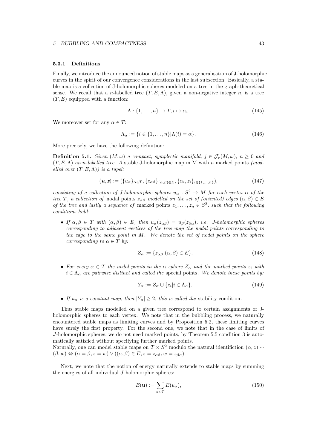#### 5.3.1 Definitions

Finally, we introduce the announced notion of stable maps as a generalisation of J-holomorphic curves in the spirit of our convergence considerations in the last subsection. Basically, a stable map is a collection of J-holomorphic spheres modeled on a tree in the graph-theoretical sense. We recall that a *n*-labelled tree  $(T, E, \Lambda)$ , given a non-negative integer *n*, is a tree  $(T, E)$  equipped with a function:

$$
\Lambda: \{1, \ldots, n\} \to T, i \mapsto \alpha_i. \tag{145}
$$

We moreover set for any  $\alpha \in T$ :

$$
\Lambda_{\alpha} := \{ i \in \{1, \dots, n\} | \Lambda(i) = \alpha \}. \tag{146}
$$

More precisely, we have the following definition:

**Definition 5.1.** *Given*  $(M, \omega)$  *a compact, symplectic manifold,*  $j \in \mathcal{J}_{\tau}(M, \omega)$ ,  $n > 0$  *and*  $(T, E, \Lambda)$  *an n*-labelled tree. A stable J-holomorphic map in M with *n* marked points *(modelled over*  $(T, E, \Lambda)$ *) is a tupel:* 

$$
(\mathbf{u}, \mathbf{z}) := (\{u_{\alpha}\}_{\alpha \in T}, \{z_{\alpha\beta}\}_{(\alpha,\beta)\in E}, \{\alpha_i, z_i\}_{i \in \{1,\dots,n\}}),
$$
\n(147)

*consisting of a collection of J-holomorphic spheres*  $u_{\alpha}: S^2 \to M$  *for each vertex*  $\alpha$  *of the tree T*, a collection of nodal points  $z_{\alpha\beta}$  *modelled on the set of (oriented) edges*  $(\alpha, \beta) \in E$ *of the tree and lastly a sequence of marked points*  $z_1, \ldots, z_n \in S^2$ , such that the following *conditions hold:*

• If  $\alpha, \beta \in T$  with  $(\alpha, \beta) \in E$ , then  $u_{\alpha}(z_{\alpha\beta}) = u_{\beta}(z_{\beta\alpha})$ , *i.e.* J-holomorphic spheres *corresponding to adjacent vertices of the tree map the nodal points corresponding to the edge to the same point in M. We denote the set of nodal points on the sphere corresponding to*  $\alpha \in T$  *by:* 

$$
Z_{\alpha} := \{ z_{\alpha\beta} | (\alpha, \beta) \in E \}. \tag{148}
$$

• For every  $\alpha \in T$  the nodal points in the  $\alpha$ -sphere  $Z_{\alpha}$  and the marked points  $z_i$  with  $i \in \Lambda_{\alpha}$  are pairwise distinct and called the special points. We denote these points by:

$$
Y_{\alpha} := Z_{\alpha} \cup \{z_i | i \in \Lambda_{\alpha}\}.
$$
\n(149)

• If  $u_{\alpha}$  is a constant map, then  $|Y_{\alpha}| \geq 2$ , this is called the stability condition.

Thus stable maps modelled on a given tree correspond to certain assignments of Jholomorphic spheres to each vertex. We note that in the bubbling process, we naturally encountered stable maps as limiting curves and by Proposition 5.2, these limiting curves have surely the first property. For the second one, we note that in the case of limits of *J*-holomorphic spheres, we do not need marked points, by Theorem 5.5 condition 3 is automatically satisfied without specifying further marked points.

Naturally, one can model stable maps on  $T \times S^2$  modulo the natural identifiction  $(\alpha, z)$  $(\beta, w) \Leftrightarrow (\alpha = \beta, z = w) \vee ((\alpha, \beta) \in E, z = z_{\alpha\beta}, w = z_{\beta\alpha}).$ 

Next, we note that the notion of energy naturally extends to stable maps by summing the energies of all individual *J*-holomorphic spheres:

$$
E(\mathbf{u}) := \sum_{\alpha \in T} E(u_{\alpha}), \tag{150}
$$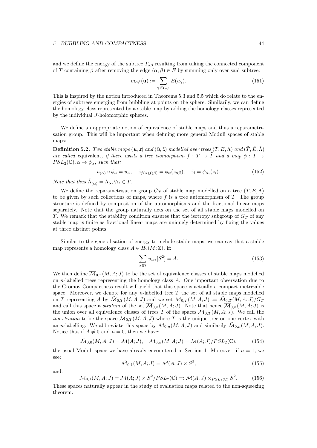and we define the energy of the subtree  $T_{\alpha\beta}$  resulting from taking the connected component of *T* containing  $\beta$  after removing the edge  $(\alpha, \beta) \in E$  by summing only over said subtree:

$$
m_{\alpha\beta}(\mathbf{u}) := \sum_{\gamma \in T_{\alpha\beta}} E(u_{\gamma}). \tag{151}
$$

This is inspired by the notion introduced in Theorems 5.3 and 5.5 which do relate to the energies of subtrees emerging from bubbling at points on the sphere. Similarily, we can define the homology class represented by a stable map by adding the homology classes represented by the individual *J*-holomorphic spheres.

We define an appropriate notion of equivalence of stable maps and thus a reparametrisation group. This will be important when defining more general Moduli spaces of stable maps:

**Definition 5.2.** *Two stable maps*  $(u, z)$  *and*  $(\tilde{u}, \tilde{z})$  *modelled over trees*  $(T, E, \Lambda)$  *and*  $(\tilde{T}, \tilde{E}, \tilde{\Lambda})$ *are called* equivalent, if there exists a tree isomorphism  $f: T \to \tilde{T}$  and a map  $\phi: T \to T$  $PSL_2(\mathbb{C}), \alpha \mapsto \phi_\alpha$ , such that:

$$
\tilde{u}_{(\alpha)} \circ \phi_{\alpha} = u_{\alpha}, \quad \tilde{z}_{f(\alpha)f(\beta)} = \phi_{\alpha}(z_{\alpha\beta}), \quad \tilde{z}_i = \phi_{\alpha_i}(z_i). \tag{152}
$$

*Note that thus*  $\tilde{\Lambda}_{(\alpha)} = \Lambda_{\alpha}, \forall \alpha \in T$ *.* 

We define the reparametrisation group  $G_T$  of stable map modelled on a tree  $(T, E, \Lambda)$ to be given by such collections of maps, where *f* is a tree automorphism of *T*. The group structure is defined by composition of the automorphisms and the fractional linear maps separately. Note that the group naturally acts on the set of all stable maps modelled on *T*. We remark that the stability condition ensures that the isotropy subgroup of *G<sup>T</sup>* of any stable map is finite as fractional linear maps are uniquely determined by fixing the values at three distinct points.

Similar to the generalisation of energy to include stable maps, we can say that a stable map represents a homology class  $A \in H_2(M; \mathbb{Z})$ , if:

$$
\sum_{\alpha \in T} u_{\alpha *} [S^2] = A. \tag{153}
$$

We then define  $\overline{\mathcal{M}}_{0,n}(M,A;J)$  to be the set of equivalence classes of stable maps modelled on *n*-labelled trees representing the homology class *A*. One important observation due to the Gromov Compactness result will yield that this space is actually a compact metrizable space. Moreover, we denote for any *n*-labelled tree *T* the set of all stable maps modelled on *T* representing *A* by  $\mathcal{M}_{0,T}(M,A;J)$  and we set  $\mathcal{M}_{0,T}(M,A;J) := \mathcal{M}_{0,T}(M,A;J)/G_T$ and call this space a *stratum* of the set  $\overline{\mathcal{M}}_{0,n}(M, A; J)$ . Note that hence  $\overline{\mathcal{M}}_{0,n}(M, A; J)$  is the union over all equivalence classes of trees *T* of the spaces  $\mathcal{M}_{0,T}(M,A;J)$ . We call the *top stratum* to be the space  $\mathcal{M}_{0,T}(M,A;J)$  where T is the unique tree on one vertex with an *n*-labelling. We abbreviate this space by  $\mathcal{M}_{0,n}(M, A; J)$  and similarily  $\mathcal{M}_{0,n}(M, A; J)$ . Notice that if  $A \neq 0$  and  $n = 0$ , then we have:

$$
\tilde{\mathcal{M}}_{0,0}(M,A;J) = \mathcal{M}(A;J), \quad \mathcal{M}_{0,n}(M,A;J) = \mathcal{M}(A;J)/PSL_2(\mathbb{C}),\tag{154}
$$

the usual Moduli space we have already encountered in Section 4. Moreover, if  $n = 1$ , we see:

$$
\tilde{\mathcal{M}}_{0,1}(M, A; J) = \mathcal{M}(A; J) \times S^2,
$$
\n(155)

and:

$$
\mathcal{M}_{0,1}(M,A;J) = \mathcal{M}(A;J) \times S^2 / PSL_2(\mathbb{C}) =: \mathcal{M}(A;J) \times_{PSL_2(\mathbb{C})} S^2.
$$
 (156)

These spaces naturally appear in the study of evaluation maps related to the non-squeezing theorem.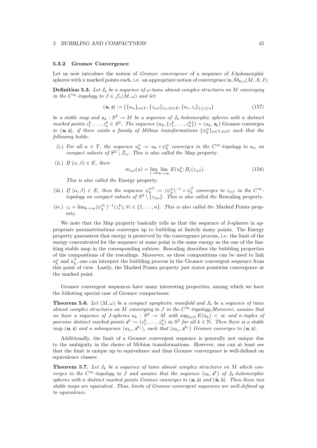#### 5.3.2 Gromov Convergence

Let us now introduce the notion of *Gromov convergence* of a sequence of J-holomorphic spheres with *n* marked points each, i.e. an appropriate notion of convergence in  $\mathcal{M}_{0,n}(M,A;J)$ :

**Definition 5.3.** Let  $J_k$  be a sequence of  $\omega$ -tame almost complex structures on M converging *in the*  $C^{\infty}$ -*topology to*  $J \in \mathcal{J}_{\tau}(M,\omega)$  *and let:* 

$$
(\mathbf{u}, \mathbf{z}) := (\{u_{\alpha}\}_{{\alpha \in T}}, \{z_{\alpha\beta}\}_{{(\alpha,\beta)\in E}}, \{\alpha_i, z_i\}_{1 \le i \le n})
$$
\n(157)

*be a stable map and*  $u_k : S^2 \to M$  *be a sequence of*  $J_k$ *-holomorphic spheres with n* distinct marked points  $z_1^k, \ldots, z_n^k \in S^2$ . The sequence  $(u_k, \{z_1^k, \ldots, z_n^k\}) = (u_k, \mathbf{z}_k)$  Gromov converges *to*  $(u, z)$ *, if there exists a family of Möbius transformations*  $\{\psi_k^{\alpha}\}_{{\alpha \in T},k \in \mathbb{N}}\}$  *such that the following holds:*

- (i.) For all  $\alpha \in T$ , the sequence  $u_k^{\alpha} := u_k \circ \psi_k^{\alpha}$  converges in the  $C^{\infty}$ -topology to  $u_{\alpha}$  on *compact subsets of*  $S^2 \setminus Z_\alpha$ *. This is also called the* Map property.
- (ii.) *If*  $(\alpha, \beta) \in E$ *, then:*

$$
m_{\alpha\beta}(u) = \lim_{\epsilon \to 0} \lim_{k \to \infty} E(u_k^{\alpha}; B_{\epsilon}(z_{\alpha\beta})).
$$
\n(158)

*This is also called the* Energy property*.*

- (iii.) *If*  $(\alpha, \beta) \in E$ , then the sequence  $\psi_k^{\alpha\beta} := (\psi_k^{\alpha})^{-1} \circ \psi_k^{\beta}$  converges to  $z_{\alpha\beta}$  in the  $C^{\infty}$ *topology on compact subsets of*  $S^2 \setminus \{z_{\beta\alpha}\}\$ . This is also called the Rescaling property.
- $(iv.)$   $z_i = \lim_{k \to \infty} (\psi_k^{\alpha_i})^{-1}(z_i^k), \forall i \in \{1, \ldots, n\}$ *. This is also called the* Marked Points property*.*

We note that the Map property basically tells us that the sequence of J-spheres in appropriate parametrisations converges up to bubbling at finitely many points. The Energy property guarantees that energy is preserved by the convergence process, i.e. the limit of the energy concentrated for the sequence at some point is the same energy as the one of the limiting stable map in the corresponding subtree. Rescaling describes the bubbling properties of the compositions of the rescalings. Moreover, as these compositions can be used to link  $u_k^{\alpha}$  and  $u_k^{\beta}$ , one can interpret the bubbling process in the Gromov convergent sequence from this point of view. Lastly, the Marked Points property just states pointwise convergence at the marked point.

Gromov convergent sequences have many interesting properties, among which we have the following special case of Gromov compactness:

**Theorem 5.6.** Let  $(M, \omega)$  be a compact symplectic manifold and  $J_k$  be a sequence of tame *almost complex structures on*  $M$  *converging to*  $J$  *in the*  $C^{\infty}$ -*topology.Moreover, assume that we have a sequence of J-spheres*  $u_k : S^2 \to M$  *with*  $\sup_{k \in \mathbb{N}} E(u_k) < \infty$  and *n-tuples of pairwise distinct marked points*  $z^k := (z_1^k, \ldots, z_n^k)$  *in*  $S^2$  *for all*  $k \in \mathbb{N}$ *. Then there is a stable* map  $(u, z)$  and a subsequence  $(u_{k_i}, z^{k_j})$ , such that  $(u_{k_i}, z^{k_j})$  Gromov converges to  $(u, z)$ .

Additionally, the limit of a Gromov convergent sequence is generally not unique due to the ambiguity in the choice of Möbius transformations. However, one can at least see that the limit is unique up to equivalence and thus Gromov convergence is well-defined on equivalence classes:

**Theorem 5.7.** Let  $J_k$  be a sequence of tame almost complex structures on M which con*verges in the*  $C^{\infty}$ *-topology to J* and assume that the sequence  $(u_k, z^k)$  of  $J_k$ -holomorphic *spheres with n distinct marked points Gromov converges to*  $(u, z)$  *and*  $(\tilde{u}, \tilde{z})$ *. Then these two stable maps are equivalent. Thus, limits of Gromov convergent sequences are well-defined up to equivalence.*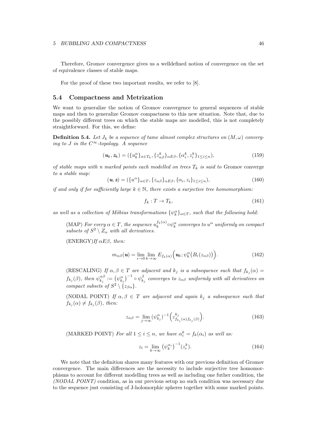Therefore, Gromov convergence gives us a welldefined notion of convergence on the set of equivalence classes of stable maps.

For the proof of these two important results, we refer to [8].

#### 5.4 Compactness and Metrization

We want to generalize the notion of Gromov convergence to general sequences of stable maps and then to generalize Gromov compactness to this new situation. Note that, due to the possibly different trees on which the stable maps are modelled, this is not completely straightforward. For this, we define:

**Definition 5.4.** Let  $J_k$  be a sequence of tame almost complex structures on  $(M, \omega)$  converg*ing to J in the*  $C^{\infty}$ -*topology.* A sequence

$$
(\mathbf{u}_k, \mathbf{z}_k) = (\{u_k^{\alpha}\}_{{\alpha \in T_k}}, \{z_{{\alpha}{\beta}}^k\}_{{\alpha}E{\beta}}, \{\alpha_i^k, z_i^k\}_{1 \le i \le n}),
$$
(159)

*of stable maps with n marked points each modelled on trees*  $T_k$  *is said to* Gromov converge *to a stable map:*

$$
(\mathbf{u}, \mathbf{z}) = (\{u^{\alpha}\}_{\alpha \in T}, \{z_{\alpha\beta}\}_{\alpha \in \beta}, \{\alpha_i, z_i\}_{1 \le i \le n}),
$$
\n(160)

*if and only if for sufficiently large*  $k \in \mathbb{N}$ *, there exists a surjective tree homomorphism:* 

$$
f_k: T \to T_k,\tag{161}
$$

*as well as a collection of Möbius transformations*  $\{\psi_k^{\alpha}\}_{\alpha \in T}$ , such that the following hold:

 $(MAP)$  *For every*  $\alpha \in T$ *, the sequence*  $u_k^{f_k(\alpha)} \circ \psi_k^{\alpha}$  *converges to*  $u^{\alpha}$  *uniformly on compact subsets of*  $S^2 \setminus Z_\alpha$  *with all derivatives.* 

 $(ENERGY)$ *If*  $\alpha E\beta$ , then:

$$
m_{\alpha\beta}(\mathbf{u}) = \lim_{\epsilon \to 0} \lim_{k \to \infty} E_{f_k(\alpha)}\Big(\mathbf{u}_k; \psi_k^{\alpha}\big(B_{\epsilon}(z_{\alpha\beta})\big)\Big). \tag{162}
$$

(RESCALING) If  $\alpha, \beta \in T$  are adjacent and  $k_j$  is a subsequence such that  $f_{k_j}(\alpha) =$  $f_{k_j}(\beta)$ , then  $\psi_{k_j}^{\alpha\beta} := (\psi_{k_j}^{\alpha})^{-1} \circ \psi_{k_j}^{\beta}$  converges to  $z_{\alpha\beta}$  uniformly with all derivatives on *compact subsets of*  $S^2 \setminus \{z_{\beta\alpha}\}.$ 

(NODAL POINT) If  $\alpha, \beta \in T$  are adjacent and again  $k_j$  a subsequence such that  $f_{k_i}(\alpha) \neq f_{k_i}(\beta)$ , then:

$$
z_{\alpha\beta} = \lim_{j \to \infty} (\psi_{k_j}^{\alpha})^{-1} \left( z_{f_{k_j}(\alpha)f_{k_j}(\beta)}^{k_j} \right). \tag{163}
$$

(MARKED POINT) *For all*  $1 \leq i \leq n$ , we have  $\alpha_i^k = f_k(\alpha_i)$  as well as:

$$
z_i = \lim_{k \to \infty} \left(\psi_k^{\alpha_i}\right)^{-1} (z_i^k). \tag{164}
$$

We note that the definition shares many features with our previous definition of Gromov convergence. The main differences are the necessity to include surjective tree homomorphisms to account for different modelling trees as well as including one futher condition, the *(NODAL POINT)* condition, as in our previous setup no such condition was necessary due to the sequence just consisting of J-holomorphic spheres together with some marked points.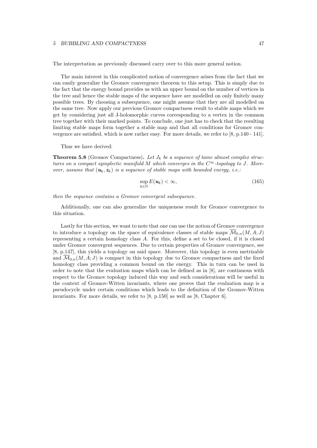The interpretation as previously discussed carry over to this more general notion.

The main interest in this complicated notion of convergence arises from the fact that we can easily generalize the Gromov convergence theorem to this setup. This is simply due to the fact that the energy bound provides us with an upper bound on the number of vertices in the tree and hence the stable maps of the sequence have are modelled on only finitely many possible trees. By choosing a subsequence, one might assume that they are all modelled on the same tree. Now apply our previous Gromov compactness result to stable maps which we get by considering just all J-holomorphic curves corresponding to a vertex in the common tree together with their marked points. To conclude, one just has to check that the resulting limiting stable maps form together a stable map and that all conditions for Gromov convergence are satisfied, which is now rather easy. For more details, we refer to [8, p.140 - 141].

Thus we have derived:

**Theorem 5.8** (Gromov Compactness). Let  $J_k$  be a sequence of tame almost complex struc*tures on a compact symplectic manifold M* which converges in the  $C^{\infty}$ -topology to J. More*over, assume that*  $(\mathbf{u}_k, \mathbf{z}_k)$  *is a sequence of stable maps with bounded energy, i.e.:* 

$$
\sup_{k \in \mathbb{N}} E(\mathbf{u}_k) < \infty,\tag{165}
$$

*then the sequence contains a Gromov convergent subsequence.*

Additionally, one can also generalize the uniqueness result for Gromov convergence to this situation.

Lastly for this section, we want to note that one can use the notion of Gromov convergence to introduce a topology on the space of equivalence classes of stable maps  $\overline{\mathcal{M}}_{0,n}(M,A;J)$ representing a certain homology class *A*. For this, define a set to be closed, if it is closed under Gromov convergent sequences. Due to certain properties of Gromov convergence, see [8, p.147], this yields a topology on said space. Moreover, this topology is even metrizable and  $\overline{\mathcal{M}}_{0,n}(M,A;J)$  is compact in this topology due to Gromov compactness and the fixed homology class providing a common bound on the energy. This in turn can be used in order to note that the evaluation maps which can be defined as in [8], are continuous with respect to the Gromov topology induced this way and such considerations will be useful in the context of Gromov-Witten invariants, where one proves that the evaluation map is a pseudocycle under certain conditions which leads to the definition of the Gromov-Witten invariants. For more details, we refer to [8, p.150] as well as [8, Chapter 6].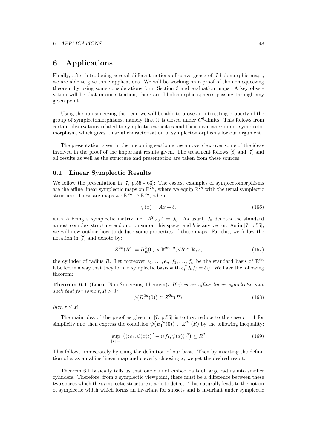### 6 Applications

Finally, after introducing several different notions of convergence of *J*-holomorphic maps, we are able to give some applications. We will be working on a proof of the non-squeezing theorem by using some considerations form Section 3 and evaluation maps. A key observation will be that in our situation, there are J-holomorphic spheres passing through any given point.

Using the non-squeezing theorem, we will be able to prove an interesting property of the group of symplectomorphisms, namely that it is closed under *C*0-limits. This follows from certain observations related to symplectic capacities and their invariance under symplectomorphism, which gives a useful characterisation of symplectomorphisms for our argument.

The presentation given in the upcoming section gives an overview over some of the ideas involved in the proof of the important results given. The treatment follows [8] and [7] and all results as well as the structure and presentation are taken from these sources.

#### 6.1 Linear Symplectic Results

We follow the presentation in [7, p.55 - 63]: The easiest examples of symplectomorphisms are the affine linear symplectic maps on  $\mathbb{R}^{2n}$ , where we equip  $\mathbb{R}^{2n}$  with the usual symplectic structure. These are maps  $\psi : \mathbb{R}^{2n} \to \mathbb{R}^{2n}$ , where:

$$
\psi(x) = Ax + b,\tag{166}
$$

with *A* being a symplectic matrix, i.e.  $A^T J_0 A = J_0$ . As usual,  $J_0$  denotes the standard almost complex structure endomorphism on this space, and *b* is any vector. As in [7, p.55], we will now outline how to deduce some properties of these maps. For this, we follow the notation in [7] and denote by:

$$
Z^{2n}(R) := B_R^2(0) \times \mathbb{R}^{2n-2}, \forall R \in \mathbb{R}_{>0},\tag{167}
$$

the cylinder of radius *R*. Let moreover  $e_1, \ldots, e_n, f_1, \ldots, f_n$  be the standard basis of  $\mathbb{R}^{2n}$ labelled in a way that they form a symplectic basis with  $e_i^T J_0 f_j = \delta_{ij}$ . We have the following theorem:

**Theorem 6.1** (Linear Non-Squeezing Theorem). If  $\psi$  is an affine linear symplectic map *such that for some*  $r, R > 0$ *:* 

$$
\psi\big(B_r^{2n}(0)\big) \subset Z^{2n}(R),\tag{168}
$$

*then*  $r < R$ *.* 

The main idea of the proof as given in [7, p.55] is to first reduce to the case  $r = 1$  for simplicity and then express the condition  $\psi(B_1^{2n}(0)) \subset Z^{2n}(R)$  by the following inequality:

$$
\sup_{\|x\|=1} ((\langle e_1, \psi(x) \rangle)^2 + (\langle f_1, \psi(x) \rangle)^2) \le R^2.
$$
\n(169)

This follows immediately by using the definition of our basis. Then by inserting the definition of  $\psi$  as an affine linear map and cleverly choosing x, we get the desired result.

Theorem 6.1 basically tells us that one cannot embed balls of large radius into smaller cylinders. Therefore, from a symplectic viewpoint, there must be a difference between these two spaces which the symplectic structure is able to detect. This naturally leads to the notion of symplectic width which forms an invariant for subsets and is invariant under symplectic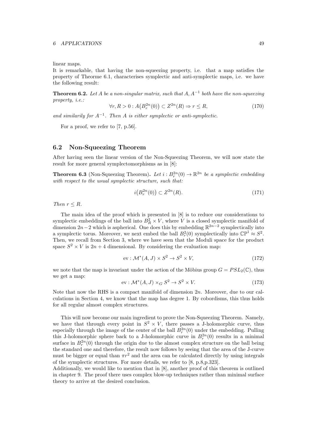linear maps.

It is remarkable, that having the non-squeezing property, i.e. that a map satisfies the property of Theorme 6.1, characterises symplectic and anti-symplectic maps, i.e. we have the following result:

**Theorem 6.2.** Let *A* be a non-singular matrix, such that  $A, A^{-1}$  both have the non-squeezing *property, i.e.:*

$$
\forall r, R > 0: A\big(B_r^{2n}(0)\big) \subset Z^{2n}(R) \Rightarrow r \le R,\tag{170}
$$

and similarily for  $A^{-1}$ . Then A is either symplectic or anti-symplectic.

For a proof, we refer to [7, p.56].

#### 6.2 Non-Squeezing Theorem

After having seen the linear version of the Non-Squeezing Theorem, we will now state the result for more general symplectomorphisms as in [8]:

**Theorem 6.3** (Non-Squeezing Theorem). Let  $i: B_r^{2n}(0) \to \mathbb{R}^{2n}$  be a symplectic embedding *with respect to the usual symplectic structure, such that:*

$$
i\big(B_r^{2n}(0)\big) \subset Z^{2n}(R). \tag{171}
$$

*Then*  $r \leq R$ *.* 

The main idea of the proof which is presented in [8] is to reduce our considerations to symplectic embeddings of the ball into  $B_R^2 \times V$ , where *V* is a closed symplectic manifold of dimension  $2n-2$  which is aspherical. One does this by embedding  $\mathbb{R}^{2n-2}$  symplectically into a symplectic torus. Moreover, we next embed the ball  $B_r^2(0)$  symplectically into  $\mathbb{CP}^1 \approx S^2$ . Then, we recall from Section 3, where we have seen that the Moduli space for the product space  $S^2 \times V$  is  $2n + 4$  dimensional. By considering the evaluation map:

$$
ev: \mathcal{M}^*(A, J) \times S^2 \to S^2 \times V,
$$
\n(172)

we note that the map is invariant under the action of the Möbius group  $G = PSL_2(\mathbb{C})$ , thus we get a map:

$$
ev: \mathcal{M}^*(A, J) \times_G S^2 \to S^2 \times V. \tag{173}
$$

Note that now the RHS is a compact manifold of dimension 2*n*. Moreover, due to our calculations in Section 4, we know that the map has degree 1. By cobordisms, this thus holds for all regular almost complex structures.

This will now become our main ingredient to prove the Non-Squeezing Theorem. Namely, we have that through every point in  $S^2 \times V$ , there passes a J-holomorphic curve, thus especially through the image of the center of the ball  $B_r^{2n}(0)$  under the embedding. Pulling this J-holomorphic sphere back to a J-holomorphic curve in  $B_r^{2n}(0)$  results in a minimal surface in  $B_r^{2n}(0)$  through the origin due to the almost complex structure on the ball being the standard one and therefore, the result now follows by seeing that the area of the J-curve must be bigger or equal than  $\pi r^2$  and the area can be calculated directly by using integrals of the symplectic structures. For more details, we refer to [8, p.8,p.323].

Additionally, we would like to mention that in [8], another proof of this theorem is outlined in chapter 9. The proof there uses complex blow-up techniques rather than minimal surface theory to arrive at the desired conclusion.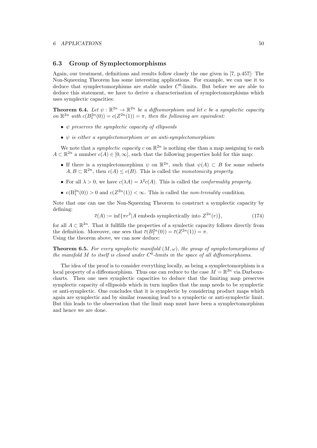#### 6.3 Group of Symplectomorphisms

Again, our treatment, definitions and results follow closely the one given in [7, p.457]: The Non-Squeezing Theorem has some interesting applications. For example, we can use it to deduce that symplectomorphisms are stable under  $C<sup>0</sup>$ -limits. But before we are able to deduce this statement, we have to derive a characterisation of symplectomorphisms which uses symplectic capacities:

**Theorem 6.4.** Let  $\psi : \mathbb{R}^{2n} \to \mathbb{R}^{2n}$  be a diffeomorphism and let c be a symplectic capacity *on*  $\mathbb{R}^{2n}$  *with*  $c(B_1^{2n}(0)) = c(Z^{2n}(1)) = \pi$ *, then the following are equivalent:* 

- *• preserves the symplectic capacity of ellipsoids*
- *• is either a symplectomorphism or an anti-symplectomorphism*

We note that a *symplectic capacity*  $c$  on  $\mathbb{R}^{2n}$  is nothing else than a map assigning to each  $A \subset \mathbb{R}^{2n}$  a number  $c(A) \in [0, \infty]$ , such that the following properties hold for this map:

- If there is a symplectomorphism  $\psi$  on  $\mathbb{R}^{2n}$ , such that  $\psi(A) \subset B$  for some subsets  $A, B \subset \mathbb{R}^{2n}$ , then  $c(A) \leq c(B)$ . This is called the *monotonicity property*.
- For all  $\lambda > 0$ , we have  $c(\lambda A) = \lambda^2 c(A)$ . This is called the *conformality property*.
- $c(B_1^{2n}(0)) > 0$  and  $c(Z^{2n}(1)) < \infty$ . This is called the *non-triviality* condition.

Note that one can use the Non-Squeezing Theorem to construct a symplectic capacity by defining:

$$
\overline{c}(A) := \inf \{ \pi r^2 | A \text{ embeds symplectically into } Z^{2n}(r) \},\tag{174}
$$

for all  $A \subset \mathbb{R}^{2n}$ . That it fullfills the properties of a symlectic capacity follows directly from the definition. Moreover, one sees that  $\bar{c}(B_1^{2n}(0)) = \bar{c}(Z^{2n}(1)) = \pi$ . Using the theorem above, we can now deduce:

**Theorem 6.5.** For every symplectic manifold  $(M, \omega)$ , the group of symplectomorphisms of *the manifold*  $M$  *to itself is closed under*  $C^0$ *-limits in the space of all diffeomorphisms.* 

The idea of the proof is to consider everything locally, as being a symplectomorphism is a local property of a diffeomorphism. Thus one can reduce to the case  $M = \mathbb{R}^{2n}$  via Darbouxcharts. Then one uses symplectic capacities to deduce that the limiting map preserves symplectic capacity of ellipsoids which in turn implies that the map needs to be symplectic or anti-symplectic. One concludes that it is symplectic by considering product maps which again are symplectic and by similar reasoning lead to a symplectic or anti-symplectic limit. But this leads to the observation that the limit map must have been a symplectomorphism and hence we are done.